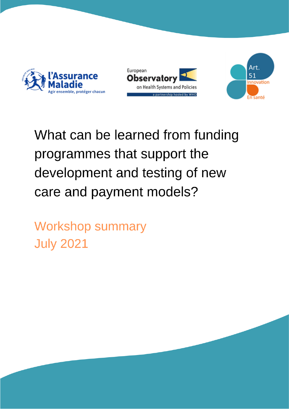





# What can be learned from funding programmes that support the development and testing of new care and payment models?

**Workshop summary July 2021**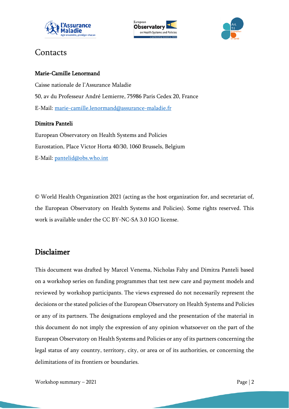





## Contacts

#### Marie-Camille Lenormand

Caisse nationale de l'Assurance Maladie 50, av du Professeur André Lemierre, 75986 Paris Cedex 20, France E-Mail: [marie-camille.lenormand@assurance-maladie.fr](mailto:marie-camille.lenormand@assurance-maladie.fr)

#### Dimitra Panteli

European Observatory on Health Systems and Policies Eurostation, Place Victor Horta 40/30, 1060 Brussels, Belgium E-Mail: [pantelid@obs.who.int](mailto:pantelid@obs.who.int)

© World Health Organization 2021 (acting as the host organization for, and secretariat of, the European Observatory on Health Systems and Policies). Some rights reserved. This work is available under the CC BY-NC-SA 3.0 IGO license.

#### Disclaimer

This document was drafted by Marcel Venema, Nicholas Fahy and Dimitra Panteli based on a workshop series on funding programmes that test new care and payment models and reviewed by workshop participants. The views expressed do not necessarily represent the decisions or the stated policies of the European Observatory on Health Systems and Policies or any of its partners. The designations employed and the presentation of the material in this document do not imply the expression of any opinion whatsoever on the part of the European Observatory on Health Systems and Policies or any of its partners concerning the legal status of any country, territory, city, or area or of its authorities, or concerning the delimitations of its frontiers or boundaries.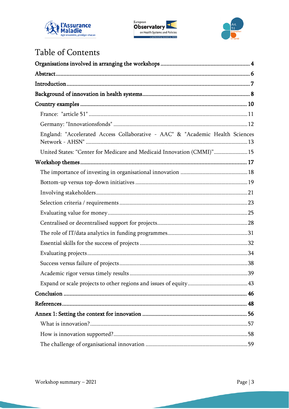





# Table of Contents

| England: "Accelerated Access Collaborative - AAC" & "Academic Health Sciences |  |
|-------------------------------------------------------------------------------|--|
| United States: "Center for Medicare and Medicaid Innovation (CMMI)"15         |  |
|                                                                               |  |
|                                                                               |  |
|                                                                               |  |
|                                                                               |  |
|                                                                               |  |
|                                                                               |  |
|                                                                               |  |
|                                                                               |  |
|                                                                               |  |
|                                                                               |  |
|                                                                               |  |
|                                                                               |  |
|                                                                               |  |
|                                                                               |  |
|                                                                               |  |
|                                                                               |  |
|                                                                               |  |
|                                                                               |  |
|                                                                               |  |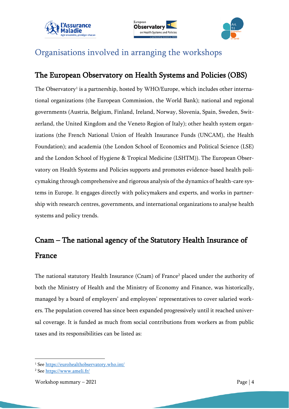





## <span id="page-3-0"></span>Organisations involved in arranging the workshops

#### The European Observatory on Health Systems and Policies (OBS)

The Observatory<sup>1</sup> is a partnership, hosted by WHO/Europe, which includes other international organizations (the European Commission, the World Bank); national and regional governments (Austria, Belgium, Finland, Ireland, Norway, Slovenia, Spain, Sweden, Switzerland, the United Kingdom and the Veneto Region of Italy); other health system organizations (the French National Union of Health Insurance Funds (UNCAM), the Health Foundation); and academia (the London School of Economics and Political Science (LSE) and the London School of Hygiene & Tropical Medicine (LSHTM)). The European Observatory on Health Systems and Policies supports and promotes evidence-based health policymaking through comprehensive and rigorous analysis of the dynamics of health-care systems in Europe. It engages directly with policymakers and experts, and works in partnership with research centres, governments, and international organizations to analyse health systems and policy trends.

# Cnam – The national agency of the Statutory Health Insurance of France

The national statutory Health Insurance (Cnam) of France<sup>2</sup> placed under the authority of both the Ministry of Health and the Ministry of Economy and Finance, was historically, managed by a board of employers' and employees' representatives to cover salaried workers. The population covered has since been expanded progressively until it reached universal coverage. It is funded as much from social contributions from workers as from public taxes and its responsibilities can be listed as:

<sup>1</sup> See<https://eurohealthobservatory.who.int/>

<sup>2</sup> See<https://www.ameli.fr/>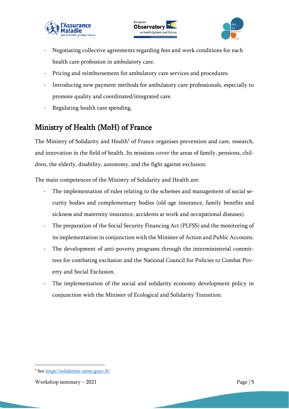





- Negotiating collective agreements regarding fees and work conditions for each health care profession in ambulatory care.
- Pricing and reimbursement for ambulatory care services and procedures.
- Introducing new payment methods for ambulatory care professionals, especially to promote quality and coordinated/integrated care.
- Regulating health care spending.

## Ministry of Health (MoH) of France

The Ministry of Solidarity and Health<sup>3</sup> of France organises prevention and care, research, and innovation in the field of health. Its missions cover the areas of family, pensions, children, the elderly, disability, autonomy, and the fight against exclusion.

The main competences of the Ministry of Solidarity and Health are:

- The implementation of rules relating to the schemes and management of social security bodies and complementary bodies (old-age insurance, family benefits and sickness and maternity insurance, accidents at work and occupational diseases).
- The preparation of the Social Security Financing Act (PLFSS) and the monitoring of its implementation in conjunction with the Minister of Action and Public Accounts.
- The development of anti-poverty programs through the interministerial committees for combating exclusion and the National Council for Policies to Combat Poverty and Social Exclusion.
- The implementation of the social and solidarity economy development policy in conjunction with the Minister of Ecological and Solidarity Transition.

<sup>3</sup> See<https://solidarites-sante.gouv.fr/>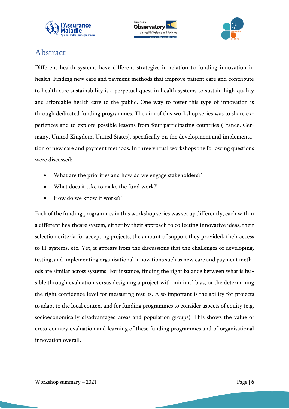





## <span id="page-5-0"></span>Abstract

Different health systems have different strategies in relation to funding innovation in health. Finding new care and payment methods that improve patient care and contribute to health care sustainability is a perpetual quest in health systems to sustain high-quality and affordable health care to the public. One way to foster this type of innovation is through dedicated funding programmes. The aim of this workshop series was to share experiences and to explore possible lessons from four participating countries (France, Germany, United Kingdom, United States), specifically on the development and implementation of new care and payment methods. In three virtual workshops the following questions were discussed:

- 'What are the priorities and how do we engage stakeholders?'
- 'What does it take to make the fund work?'
- 'How do we know it works?'

Each of the funding programmes in this workshop series was set up differently, each within a different healthcare system, either by their approach to collecting innovative ideas, their selection criteria for accepting projects, the amount of support they provided, their access to IT systems, etc. Yet, it appears from the discussions that the challenges of developing, testing, and implementing organisational innovations such as new care and payment methods are similar across systems. For instance, finding the right balance between what is feasible through evaluation versus designing a project with minimal bias, or the determining the right confidence level for measuring results. Also important is the ability for projects to adapt to the local context and for funding programmes to consider aspects of equity (e.g. socioeconomically disadvantaged areas and population groups). This shows the value of cross-country evaluation and learning of these funding programmes and of organisational innovation overall.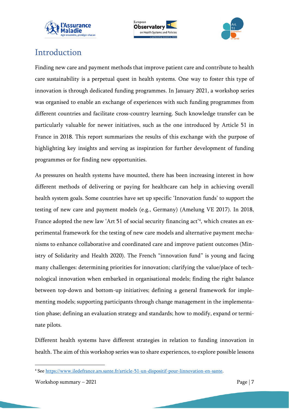





## <span id="page-6-0"></span>Introduction

Finding new care and payment methods that improve patient care and contribute to health care sustainability is a perpetual quest in health systems. One way to foster this type of innovation is through dedicated funding programmes. In January 2021, a workshop series was organised to enable an exchange of experiences with such funding programmes from different countries and facilitate cross-country learning. Such knowledge transfer can be particularly valuable for newer initiatives, such as the one introduced by Article 51 in France in 2018. This report summarizes the results of this exchange with the purpose of highlighting key insights and serving as inspiration for further development of funding programmes or for finding new opportunities.

As pressures on health systems have mounted, there has been increasing interest in how different methods of delivering or paying for healthcare can help in achieving overall health system goals. Some countries have set up specific 'Innovation funds' to support the testing of new care and payment models (e.g., Germany) (Amelung VE 2017). In 2018, France adopted the new law 'Art 51 of social security financing act'<sup>4</sup> , which creates an experimental framework for the testing of new care models and alternative payment mechanisms to enhance collaborative and coordinated care and improve patient outcomes (Ministry of Solidarity and Health 2020). The French "innovation fund" is young and facing many challenges: determining priorities for innovation; clarifying the value/place of technological innovation when embarked in organisational models; finding the right balance between top-down and bottom-up initiatives; defining a general framework for implementing models; supporting participants through change management in the implementation phase; defining an evaluation strategy and standards; how to modify, expand or terminate pilots.

Different health systems have different strategies in relation to funding innovation in health. The aim of this workshop series was to share experiences, to explore possible lessons

Workshop summary  $-2021$  Page | 7

<sup>4</sup> See [https://www.iledefrance.ars.sante.fr/article-51-un-dispositif-pour-linnovation-en-sante.](https://www.iledefrance.ars.sante.fr/article-51-un-dispositif-pour-linnovation-en-sante)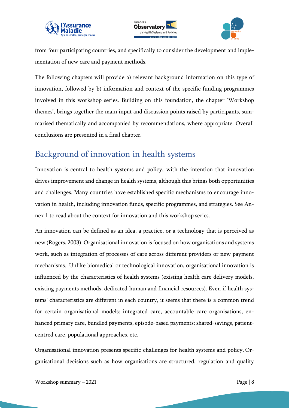





from four participating countries, and specifically to consider the development and implementation of new care and payment methods.

The following chapters will provide a) relevant background information on this type of innovation, followed by b) information and context of the specific funding programmes involved in this workshop series. Building on this foundation, the chapter 'Workshop themes', brings together the main input and discussion points raised by participants, summarised thematically and accompanied by recommendations, where appropriate. Overall conclusions are presented in a final chapter.

## <span id="page-7-0"></span>Background of innovation in health systems

Innovation is central to health systems and policy, with the intention that innovation drives improvement and change in health systems, although this brings both opportunities and challenges. Many countries have established specific mechanisms to encourage innovation in health, including innovation funds, specific programmes, and strategies. See Annex 1 to read about the context for innovation and this workshop series.

An innovation can be defined as an idea, a practice, or a technology that is perceived as new (Rogers, 2003). Organisational innovation is focused on how organisations and systems work, such as integration of processes of care across different providers or new payment mechanisms. Unlike biomedical or technological innovation, organisational innovation is influenced by the characteristics of health systems (existing health care delivery models, existing payments methods, dedicated human and financial resources). Even if health systems' characteristics are different in each country, it seems that there is a common trend for certain organisational models: integrated care, accountable care organisations, enhanced primary care, bundled payments, episode-based payments; shared-savings, patientcentred care, populational approaches, etc.

Organisational innovation presents specific challenges for health systems and policy. Organisational decisions such as how organisations are structured, regulation and quality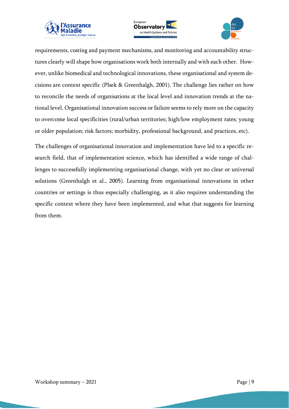





requirements, costing and payment mechanisms, and monitoring and accountability structures clearly will shape how organisations work both internally and with each other. However, unlike biomedical and technological innovations, these organisational and system decisions are context specific (Plsek & Greenhalgh, 2001). The challenge lies rather on how to reconcile the needs of organisations at the local level and innovation trends at the national level. Organisational innovation success or failure seems to rely more on the capacity to overcome local specificities (rural/urban territories; high/low employment rates; young or older population; risk factors; morbidity, professional background, and practices, etc).

The challenges of organisational innovation and implementation have led to a specific research field, that of implementation science, which has identified a wide range of challenges to successfully implementing organisational change, with yet no clear or universal solutions (Greenhalgh et al., 2005). Learning from organisational innovations in other countries or settings is thus especially challenging, as it also requires understanding the specific context where they have been implemented, and what that suggests for learning from them.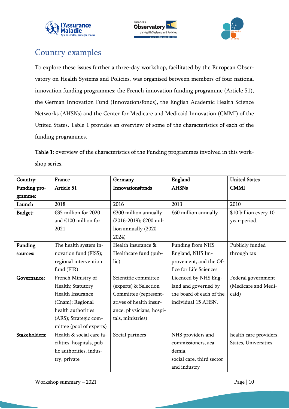





## <span id="page-9-0"></span>Country examples

To explore these issues further a three-day workshop, facilitated by the European Observatory on Health Systems and Policies, was organised between members of four national innovation funding programmes: the French innovation funding programme (Article 51), the German Innovation Fund (Innovationsfonds), the English Academic Health Science Networks (AHSNs) and the Center for Medicare and Medicaid Innovation (CMMI) of the United States. Table 1 provides an overview of some of the characteristics of each of the funding programmes.

Table 1: overview of the characteristics of the Funding programmes involved in this workshop series.

| Country:       | France                    | Germany                  | England                   | <b>United States</b>   |
|----------------|---------------------------|--------------------------|---------------------------|------------------------|
| Funding pro-   | Article 51                | Innovationsfonds         | <b>AHSNs</b>              | <b>CMMI</b>            |
| gramme:        |                           |                          |                           |                        |
| Launch         | 2018                      | 2016                     | 2013                      | 2010                   |
| <b>Budget:</b> | €35 million for 2020      | €300 million annually    | £60 million annually      | \$10 billion every 10- |
|                | and $€100$ million for    | (2016-2019); €200 mil-   |                           | year-period.           |
|                | 2021                      | lion annually (2020-     |                           |                        |
|                |                           | 2024)                    |                           |                        |
| Funding        | The health system in-     | Health insurance &       | Funding from NHS          | Publicly funded        |
| sources:       | novation fund (FISS);     | Healthcare fund (pub-    | England, NHS Im-          | through tax            |
|                | regional intervention     | lic)                     | provement, and the Of-    |                        |
|                | fund (FIR)                |                          | fice for Life Sciences    |                        |
| Governance:    | French Ministry of        | Scientific committee     | Licenced by NHS Eng-      | Federal government     |
|                | Health; Statutory         | (experts) & Selection    | land and governed by      | (Medicare and Medi-    |
|                | Health Insurance          | Committee (represent-    | the board of each of the  | caid)                  |
|                | (Cnam); Regional          | atives of health insur-  | individual 15 AHSN.       |                        |
|                | health authorities        | ance, physicians, hospi- |                           |                        |
|                | (ARS); Strategic com-     | tals, ministries)        |                           |                        |
|                | mittee (pool of experts)  |                          |                           |                        |
| Stakeholders:  | Health & social care fa-  | Social partners          | NHS providers and         | health care providers, |
|                | cilities, hospitals, pub- |                          | commissioners, aca-       | States, Universities   |
|                | lic authorities, indus-   |                          | demia,                    |                        |
|                | try, private              |                          | social care, third sector |                        |
|                |                           |                          | and industry              |                        |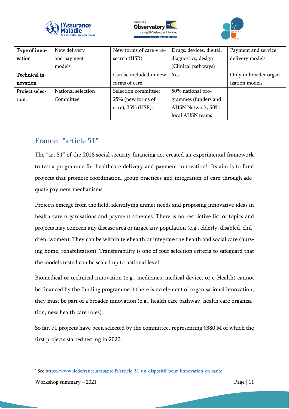





| Type of inno-  | New delivery       | New forms of care $+$ re- | Drugs, devices, digital, | Payment and service    |
|----------------|--------------------|---------------------------|--------------------------|------------------------|
| vation         | and payment        | search (HSR)              | diagnostics, design      | delivery models        |
|                | models             |                           | (Clinical pathways)      |                        |
| Technical in-  |                    | Can be included in new    | Yes                      | Only in broader organ- |
| novation       |                    | forms of care             |                          | ization models         |
| Project selec- | National selection | Selection committee:      | 50% national pro-        |                        |
| tion:          | Committee          | 25% (new forms of         | grammes (funders and     |                        |
|                |                    | care), 35% (HSR).         | AHSN Network, 50%        |                        |
|                |                    |                           | local AHSN teams         |                        |

#### <span id="page-10-0"></span>France: "article 51"

The "art 51" of the 2018 social security financing act created an experimental framework to test a programme for healthcare delivery and payment innovation<sup>5</sup>. Its aim is to fund projects that promote coordination, group practices and integration of care through adequate payment mechanisms.

Projects emerge from the field, identifying unmet needs and proposing innovative ideas in health care organisations and payment schemes. There is no restrictive list of topics and projects may concern any disease area or target any population (e.g., elderly, disabled, children, women). They can be within telehealth or integrate the health and social care (nursing home, rehabilitation). Transferability is one of four selection criteria to safeguard that the models tested can be scaled up to national level.

Biomedical or technical innovation (e.g., medicines, medical device, or e-Health) cannot be financed by the funding programme if there is no element of organisational innovation, they must be part of a broader innovation (e.g., health care pathway, health care organisation, new health care roles).

So far, 71 projects have been selected by the committee, representing  $\epsilon$ 380 M of which the first projects started testing in 2020.

<sup>5</sup> See <https://www.iledefrance.ars.sante.fr/article-51-un-dispositif-pour-linnovation-en-sante>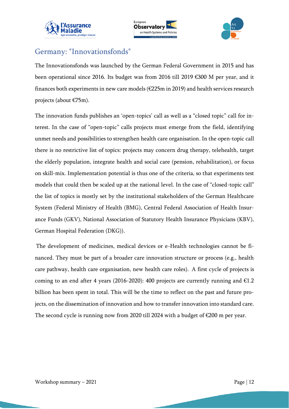





## <span id="page-11-0"></span>Germany: "Innovationsfonds"

The Innovationsfonds was launched by the German Federal Government in 2015 and has been operational since 2016. Its budget was from 2016 till 2019 €300 M per year, and it finances both experiments in new care models (€225m in 2019) and health services research projects (about €75m).

The innovation funds publishes an 'open-topics' call as well as a "closed topic" call for interest. In the case of "open-topic" calls projects must emerge from the field, identifying unmet needs and possibilities to strengthen health care organisation. In the open-topic call there is no restrictive list of topics: projects may concern drug therapy, telehealth, target the elderly population, integrate health and social care (pension, rehabilitation), or focus on skill-mix. Implementation potential is thus one of the criteria, so that experiments test models that could then be scaled up at the national level. In the case of "closed-topic call" the list of topics is mostly set by the institutional stakeholders of the German Healthcare System (Federal Ministry of Health (BMG), Central Federal Association of Health Insurance Funds (GKV), National Association of Statutory Health Insurance Physicians (KBV), German Hospital Federation (DKG)).

The development of medicines, medical devices or e-Health technologies cannot be financed. They must be part of a broader care innovation structure or process (e.g., health care pathway, health care organisation, new health care roles). A first cycle of projects is coming to an end after 4 years (2016-2020): 400 projects are currently running and  $\epsilon$ 1.2 billion has been spent in total. This will be the time to reflect on the past and future projects, on the dissemination of innovation and how to transfer innovation into standard care. The second cycle is running now from 2020 till 2024 with a budget of €200 m per year.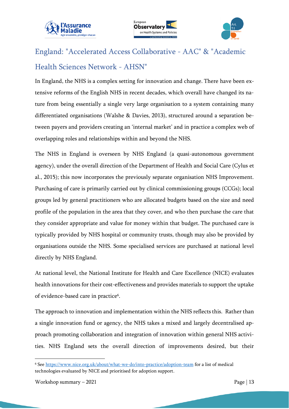





# <span id="page-12-0"></span>England: "Accelerated Access Collaborative - AAC" & "Academic Health Sciences Network - AHSN"

In England, the NHS is a complex setting for innovation and change. There have been extensive reforms of the English NHS in recent decades, which overall have changed its nature from being essentially a single very large organisation to a system containing many differentiated organisations (Walshe & Davies, 2013), structured around a separation between payers and providers creating an 'internal market' and in practice a complex web of overlapping roles and relationships within and beyond the NHS.

The NHS in England is overseen by NHS England (a quasi-autonomous government agency), under the overall direction of the Department of Health and Social Care (Cylus et al., 2015); this now incorporates the previously separate organisation NHS Improvement. Purchasing of care is primarily carried out by clinical commissioning groups (CCGs); local groups led by general practitioners who are allocated budgets based on the size and need profile of the population in the area that they cover, and who then purchase the care that they consider appropriate and value for money within that budget. The purchased care is typically provided by NHS hospital or community trusts, though may also be provided by organisations outside the NHS. Some specialised services are purchased at national level directly by NHS England.

At national level, the National Institute for Health and Care Excellence (NICE) evaluates health innovations for their cost-effectiveness and provides materials to support the uptake of evidence-based care in practice<sup>6</sup>.

The approach to innovation and implementation within the NHS reflects this. Rather than a single innovation fund or agency, the NHS takes a mixed and largely decentralised approach promoting collaboration and integration of innovation within general NHS activities. NHS England sets the overall direction of improvements desired, but their

<sup>6</sup> See <https://www.nice.org.uk/about/what-we-do/into-practice/adoption-team> for a list of medical technologies evaluated by NICE and prioritised for adoption support.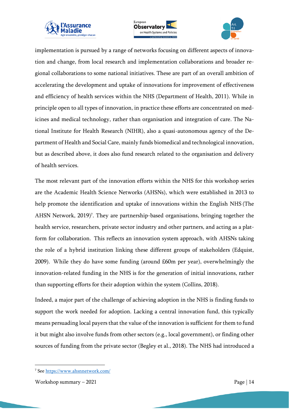





implementation is pursued by a range of networks focusing on different aspects of innovation and change, from local research and implementation collaborations and broader regional collaborations to some national initiatives. These are part of an overall ambition of accelerating the development and uptake of innovations for improvement of effectiveness and efficiency of health services within the NHS (Department of Health, 2011). While in principle open to all types of innovation, in practice these efforts are concentrated on medicines and medical technology, rather than organisation and integration of care. The National Institute for Health Research (NIHR), also a quasi-autonomous agency of the Department of Health and Social Care, mainly funds biomedical and technological innovation, but as described above, it does also fund research related to the organisation and delivery of health services.

The most relevant part of the innovation efforts within the NHS for this workshop series are the Academic Health Science Networks (AHSNs), which were established in 2013 to help promote the identification and uptake of innovations within the English NHS (The AHSN Network, 2019)<sup>7</sup>. They are partnership-based organisations, bringing together the health service, researchers, private sector industry and other partners, and acting as a platform for collaboration. This reflects an innovation system approach, with AHSNs taking the role of a hybrid institution linking these different groups of stakeholders (Edquist, 2009). While they do have some funding (around £60m per year), overwhelmingly the innovation-related funding in the NHS is for the generation of initial innovations, rather than supporting efforts for their adoption within the system (Collins, 2018).

Indeed, a major part of the challenge of achieving adoption in the NHS is finding funds to support the work needed for adoption. Lacking a central innovation fund, this typically means persuading local payers that the value of the innovation is sufficient for them to fund it but might also involve funds from other sectors (e.g., local government), or finding other sources of funding from the private sector (Begley et al., 2018). The NHS had introduced a

<sup>7</sup> See<https://www.ahsnnetwork.com/>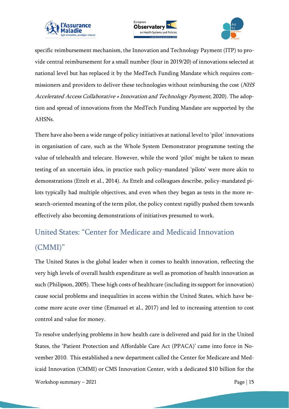





specific reimbursement mechanism, the Innovation and Technology Payment (ITP) to provide central reimbursement for a small number (four in 2019/20) of innovations selected at national level but has replaced it by the MedTech Funding Mandate which requires commissioners and providers to deliver these technologies without reimbursing the cost (NHS Accelerated Access Collaborative » Innovation and Technology Payment, 2020). The adoption and spread of innovations from the MedTech Funding Mandate are supported by the AHSNs.

There have also been a wide range of policy initiatives at national level to 'pilot' innovations in organisation of care, such as the Whole System Demonstrator programme testing the value of telehealth and telecare. However, while the word 'pilot' might be taken to mean testing of an uncertain idea, in practice such policy-mandated 'pilots' were more akin to demonstrations (Ettelt et al., 2014). As Ettelt and colleagues describe, policy-mandated pilots typically had multiple objectives, and even when they began as tests in the more research-oriented meaning of the term pilot, the policy context rapidly pushed them towards effectively also becoming demonstrations of initiatives presumed to work.

# <span id="page-14-0"></span>United States: "Center for Medicare and Medicaid Innovation (CMMI)"

The United States is the global leader when it comes to health innovation, reflecting the very high levels of overall health expenditure as well as promotion of health innovation as such (Philipson, 2005). These high costs of healthcare (including its support for innovation) cause social problems and inequalities in access within the United States, which have become more acute over time (Emanuel et al., 2017) and led to increasing attention to cost control and value for money.

Workshop summary  $-2021$  Page | 15 To resolve underlying problems in how health care is delivered and paid for in the United States, the 'Patient Protection and Affordable Care Act (PPACA)' came into force in November 2010. This established a new department called the Center for Medicare and Medicaid Innovation (CMMI) or CMS Innovation Center, with a dedicated \$10 billion for the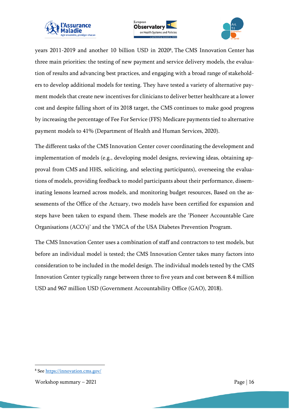





years 2011-2019 and another 10 billion USD in 2020<sup>8</sup> . The CMS Innovation Center has three main priorities: the testing of new payment and service delivery models, the evaluation of results and advancing best practices, and engaging with a broad range of stakeholders to develop additional models for testing. They have tested a variety of alternative payment models that create new incentives for clinicians to deliver better healthcare at a lower cost and despite falling short of its 2018 target, the CMS continues to make good progress by increasing the percentage of Fee For Service (FFS) Medicare payments tied to alternative payment models to 41% (Department of Health and Human Services, 2020).

The different tasks of the CMS Innovation Center cover coordinating the development and implementation of models (e.g., developing model designs, reviewing ideas, obtaining approval from CMS and HHS, soliciting, and selecting participants), overseeing the evaluations of models, providing feedback to model participants about their performance, disseminating lessons learned across models, and monitoring budget resources. Based on the assessments of the Office of the Actuary, two models have been certified for expansion and steps have been taken to expand them. These models are the 'Pioneer Accountable Care Organisations (ACO's)' and the YMCA of the USA Diabetes Prevention Program.

The CMS Innovation Center uses a combination of staff and contractors to test models, but before an individual model is tested; the CMS Innovation Center takes many factors into consideration to be included in the model design. The individual models tested by the CMS Innovation Center typically range between three to five years and cost between 8.4 million USD and 967 million USD (Government Accountability Office (GAO), 2018).

<sup>8</sup> See <https://innovation.cms.gov/>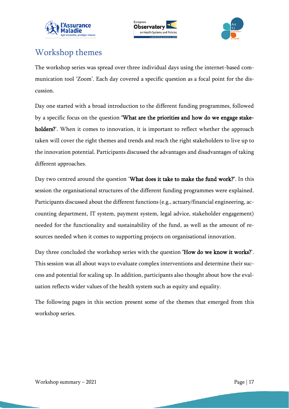





## <span id="page-16-0"></span>Workshop themes

The workshop series was spread over three individual days using the internet-based communication tool 'Zoom'. Each day covered a specific question as a focal point for the discussion.

Day one started with a broad introduction to the different funding programmes, followed by a specific focus on the question 'What are the priorities and how do we engage stakeholders?'. When it comes to innovation, it is important to reflect whether the approach taken will cover the right themes and trends and reach the right stakeholders to live up to the innovation potential. Participants discussed the advantages and disadvantages of taking different approaches.

Day two centred around the question 'What does it take to make the fund work?'. In this session the organisational structures of the different funding programmes were explained. Participants discussed about the different functions (e.g., actuary/financial engineering, accounting department, IT system, payment system, legal advice, stakeholder engagement) needed for the functionality and sustainability of the fund, as well as the amount of resources needed when it comes to supporting projects on organisational innovation.

Day three concluded the workshop series with the question 'How do we know it works?'. This session was all about ways to evaluate complex interventions and determine their success and potential for scaling up. In addition, participants also thought about how the evaluation reflects wider values of the health system such as equity and equality.

The following pages in this section present some of the themes that emerged from this workshop series.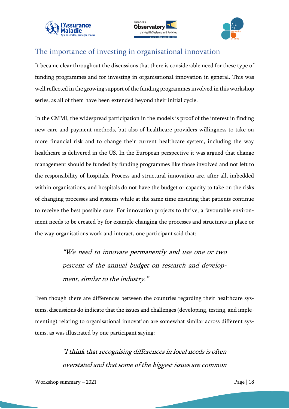





#### <span id="page-17-0"></span>The importance of investing in organisational innovation

It became clear throughout the discussions that there is considerable need for these type of funding programmes and for investing in organisational innovation in general. This was well reflected in the growing support of the funding programmes involved in this workshop series, as all of them have been extended beyond their initial cycle.

In the CMMI, the widespread participation in the models is proof of the interest in finding new care and payment methods, but also of healthcare providers willingness to take on more financial risk and to change their current healthcare system, including the way healthcare is delivered in the US. In the European perspective it was argued that change management should be funded by funding programmes like those involved and not left to the responsibility of hospitals. Process and structural innovation are, after all, imbedded within organisations, and hospitals do not have the budget or capacity to take on the risks of changing processes and systems while at the same time ensuring that patients continue to receive the best possible care. For innovation projects to thrive, a favourable environment needs to be created by for example changing the processes and structures in place or the way organisations work and interact, one participant said that:

> "We need to innovate permanently and use one or two percent of the annual budget on research and development, similar to the industry."

Even though there are differences between the countries regarding their healthcare systems, discussions do indicate that the issues and challenges (developing, testing, and implementing) relating to organisational innovation are somewhat similar across different systems, as was illustrated by one participant saying:

> "I think that recognising differences in local needs is often overstated and that some of the biggest issues are common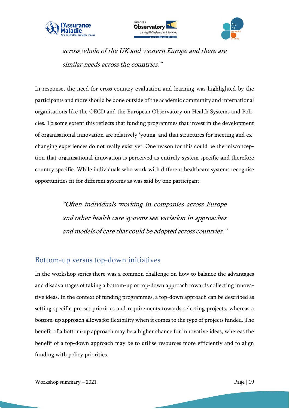





across whole of the UK and western Europe and there are similar needs across the countries."

In response, the need for cross country evaluation and learning was highlighted by the participants and more should be done outside of the academic community and international organisations like the OECD and the European Observatory on Health Systems and Policies. To some extent this reflects that funding programmes that invest in the development of organisational innovation are relatively 'young' and that structures for meeting and exchanging experiences do not really exist yet. One reason for this could be the misconception that organisational innovation is perceived as entirely system specific and therefore country specific. While individuals who work with different healthcare systems recognise opportunities fit for different systems as was said by one participant:

> "Often individuals working in companies across Europe and other health care systems see variation in approaches and models of care that could be adopted across countries."

#### <span id="page-18-0"></span>Bottom-up versus top-down initiatives

In the workshop series there was a common challenge on how to balance the advantages and disadvantages of taking a bottom-up or top-down approach towards collecting innovative ideas. In the context of funding programmes, a top-down approach can be described as setting specific pre-set priorities and requirements towards selecting projects, whereas a bottom-up approach allows for flexibility when it comes to the type of projects funded. The benefit of a bottom-up approach may be a higher chance for innovative ideas, whereas the benefit of a top-down approach may be to utilise resources more efficiently and to align funding with policy priorities.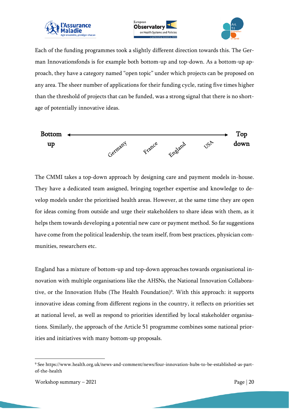





Each of the funding programmes took a slightly different direction towards this. The German Innovationsfonds is for example both bottom-up and top-down. As a bottom-up approach, they have a category named "open topic" under which projects can be proposed on any area. The sheer number of applications for their funding cycle, rating five times higher than the threshold of projects that can be funded, was a strong signal that there is no shortage of potentially innovative ideas.



The CMMI takes a top-down approach by designing care and payment models in-house. They have a dedicated team assigned, bringing together expertise and knowledge to develop models under the prioritised health areas. However, at the same time they are open for ideas coming from outside and urge their stakeholders to share ideas with them, as it helps them towards developing a potential new care or payment method. So far suggestions have come from the political leadership, the team itself, from best practices, physician communities, researchers etc.

England has a mixture of bottom-up and top-down approaches towards organisational innovation with multiple organisations like the AHSNs, the National Innovation Collaborative, or the Innovation Hubs (The Health Foundation) 9 . With this approach: it supports innovative ideas coming from different regions in the country, it reflects on priorities set at national level, as well as respond to priorities identified by local stakeholder organisations. Similarly, the approach of the Article 51 programme combines some national priorities and initiatives with many bottom-up proposals.

<sup>9</sup> See https://www.health.org.uk/news-and-comment/news/four-innovation-hubs-to-be-established-as-partof-the-health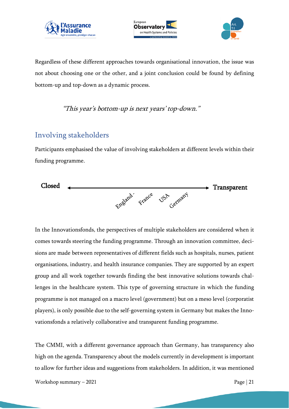





Regardless of these different approaches towards organisational innovation, the issue was not about choosing one or the other, and a joint conclusion could be found by defining bottom-up and top-down as a dynamic process.

"This year's bottom-up is next years' top-down."

#### <span id="page-20-0"></span>Involving stakeholders

Participants emphasised the value of involving stakeholders at different levels within their funding programme.



In the Innovationsfonds, the perspectives of multiple stakeholders are considered when it comes towards steering the funding programme. Through an innovation committee, decisions are made between representatives of different fields such as hospitals, nurses, patient organisations, industry, and health insurance companies. They are supported by an expert group and all work together towards finding the best innovative solutions towards challenges in the healthcare system. This type of governing structure in which the funding programme is not managed on a macro level (government) but on a meso level (corporatist players), is only possible due to the self-governing system in Germany but makes the Innovationsfonds a relatively collaborative and transparent funding programme.

The CMMI, with a different governance approach than Germany, has transparency also high on the agenda. Transparency about the models currently in development is important to allow for further ideas and suggestions from stakeholders. In addition, it was mentioned

```
Workshop summary -2021 Page | 21
```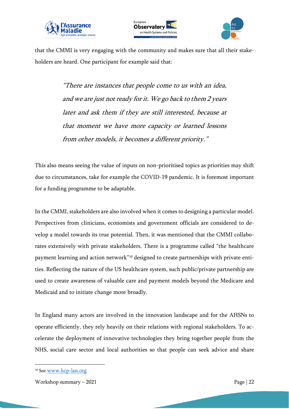





that the CMMI is very engaging with the community and makes sure that all their stakeholders are heard. One participant for example said that:

> "There are instances that people come to us with an idea, and we are just not ready for it. We go back to them 2 years later and ask them if they are still interested, because at that moment we have more capacity or learned lessons from other models, it becomes a different priority."

This also means seeing the value of inputs on non-prioritised topics as priorities may shift due to circumstances, take for example the COVID-19 pandemic. It is foremost important for a funding programme to be adaptable.

In the CMMI, stakeholders are also involved when it comes to designing a particular model. Perspectives from clinicians, economists and government officials are considered to develop a model towards its true potential. Then, it was mentioned that the CMMI collaborates extensively with private stakeholders. There is a programme called "the healthcare payment learning and action network"<sup>10</sup> designed to create partnerships with private entities. Reflecting the nature of the US healthcare system, such public/private partnership are used to create awareness of valuable care and payment models beyond the Medicare and Medicaid and to initiate change more broadly.

In England many actors are involved in the innovation landscape and for the AHSNs to operate efficiently, they rely heavily on their relations with regional stakeholders. To accelerate the deployment of innovative technologies they bring together people from the NHS, social care sector and local authorities so that people can seek advice and share

<sup>&</sup>lt;sup>10</sup> See [www.hcp-lan.org](http://www.hcp-lan.org/)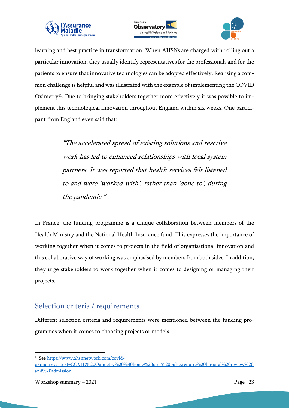





learning and best practice in transformation. When AHSNs are charged with rolling out a particular innovation, they usually identify representatives for the professionals and for the patients to ensure that innovative technologies can be adopted effectively. Realising a common challenge is helpful and was illustrated with the example of implementing the COVID Oximetry<sup>11</sup>. Due to bringing stakeholders together more effectively it was possible to implement this technological innovation throughout England within six weeks. One participant from England even said that:

> "The accelerated spread of existing solutions and reactive work has led to enhanced relationships with local system partners. It was reported that health services felt listened to and were 'worked with', rather than 'done to', during the pandemic."

In France, the funding programme is a unique collaboration between members of the Health Ministry and the National Health Insurance fund. This expresses the importance of working together when it comes to projects in the field of organisational innovation and this collaborative way of working was emphasised by members from both sides. In addition, they urge stakeholders to work together when it comes to designing or managing their projects.

#### <span id="page-22-0"></span>Selection criteria / requirements

Different selection criteria and requirements were mentioned between the funding programmes when it comes to choosing projects or models.

<sup>&</sup>lt;sup>11</sup> See [https://www.ahsnnetwork.com/covid-](https://www.ahsnnetwork.com/covid-oximetry#:~:text=COVID%20Oximetry%20%40home%20uses%20pulse,require%20hospital%20review%20and%20admission)

[oximetry#:~:text=COVID%20Oximetry%20%40home%20uses%20pulse,require%20hospital%20review%20](https://www.ahsnnetwork.com/covid-oximetry#:~:text=COVID%20Oximetry%20%40home%20uses%20pulse,require%20hospital%20review%20and%20admission) [and%20admission.](https://www.ahsnnetwork.com/covid-oximetry#:~:text=COVID%20Oximetry%20%40home%20uses%20pulse,require%20hospital%20review%20and%20admission)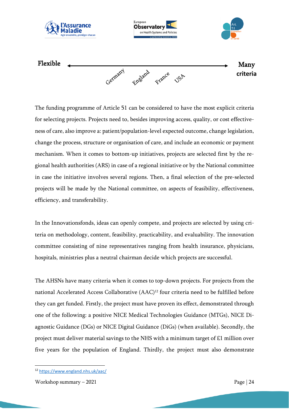

The funding programme of Article 51 can be considered to have the most explicit criteria for selecting projects. Projects need to, besides improving access, quality, or cost effectiveness of care, also improve a: patient/population-level expected outcome, change legislation, change the process, structure or organisation of care, and include an economic or payment mechanism. When it comes to bottom-up initiatives, projects are selected first by the regional health authorities (ARS) in case of a regional initiative or by the National committee in case the initiative involves several regions. Then, a final selection of the pre-selected projects will be made by the National committee, on aspects of feasibility, effectiveness, efficiency, and transferability.

In the Innovationsfonds, ideas can openly compete, and projects are selected by using criteria on methodology, content, feasibility, practicability, and evaluability. The innovation committee consisting of nine representatives ranging from health insurance, physicians, hospitals, ministries plus a neutral chairman decide which projects are successful.

The AHSNs have many criteria when it comes to top-down projects. For projects from the national Accelerated Access Collaborative (AAC)<sup>12</sup> four criteria need to be fulfilled before they can get funded. Firstly, the project must have proven its effect, demonstrated through one of the following: a positive NICE Medical Technologies Guidance (MTGs), NICE Diagnostic Guidance (DGs) or NICE Digital Guidance (DiGs) (when available). Secondly, the project must deliver material savings to the NHS with a minimum target of £1 million over five years for the population of England. Thirdly, the project must also demonstrate

<sup>12</sup> <https://www.england.nhs.uk/aac/>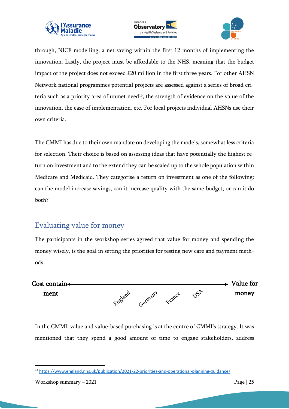





through, NICE modelling, a net saving within the first 12 months of implementing the innovation. Lastly, the project must be affordable to the NHS, meaning that the budget impact of the project does not exceed £20 million in the first three years. For other AHSN Network national programmes potential projects are assessed against a series of broad criteria such as a priority area of unmet need<sup>13</sup>, the strength of evidence on the value of the innovation, the ease of implementation, etc. For local projects individual AHSNs use their own criteria.

The CMMI has due to their own mandate on developing the models, somewhat less criteria for selection. Their choice is based on assessing ideas that have potentially the highest return on investment and to the extend they can be scaled up to the whole population within Medicare and Medicaid. They categorise a return on investment as one of the following: can the model increase savings, can it increase quality with the same budget, or can it do both?

## <span id="page-24-0"></span>Evaluating value for money

The participants in the workshop series agreed that value for money and spending the money wisely, is the goal in setting the priorities for testing new care and payment methods.



In the CMMI, value and value-based purchasing is at the centre of CMMI's strategy. It was mentioned that they spend a good amount of time to engage stakeholders, address

<sup>13</sup> <https://www.england.nhs.uk/publication/2021-22-priorities-and-operational-planning-guidance/>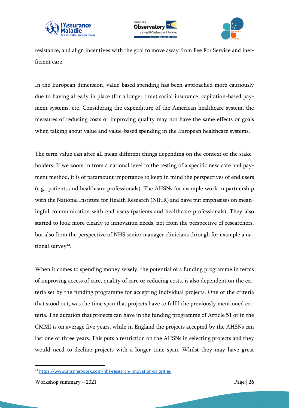





resistance, and align incentives with the goal to move away from Fee For Service and inefficient care.

In the European dimension, value-based spending has been approached more cautiously due to having already in place (for a longer time) social insurance, capitation-based payment systems, etc. Considering the expenditure of the American healthcare system, the measures of reducing costs or improving quality may not have the same effects or goals when talking about value and value-based spending in the European healthcare systems.

The term value can after all mean different things depending on the context or the stakeholders. If we zoom in from a national level to the testing of a specific new care and payment method, it is of paramount importance to keep in mind the perspectives of end users (e.g., patients and healthcare professionals). The AHSNs for example work in partnership with the National Institute for Health Research (NIHR) and have put emphasises on meaningful communication with end users (patients and healthcare professionals). They also started to look more clearly to innovation needs, not from the perspective of researchers, but also from the perspective of NHS senior manager clinicians through for example a national survey $14$ .

When it comes to spending money wisely, the potential of a funding programme in terms of improving access of care, quality of care or reducing costs, is also dependent on the criteria set by the funding programme for accepting individual projects. One of the criteria that stood out, was the time span that projects have to fulfil the previously mentioned criteria. The duration that projects can have in the funding programme of Article 51 or in the CMMI is on average five years, while in England the projects accepted by the AHSNs can last one or three years. This puts a restriction on the AHSNs in selecting projects and they would need to decline projects with a longer time span. Whilst they may have great

<sup>14</sup> <https://www.ahsnnetwork.com/nhs-research-innovation-priorities>

Workshop summary  $-2021$  Page | 26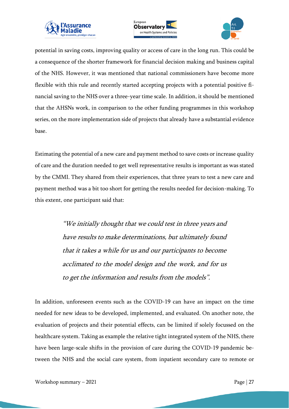





potential in saving costs, improving quality or access of care in the long run. This could be a consequence of the shorter framework for financial decision making and business capital of the NHS. However, it was mentioned that national commissioners have become more flexible with this rule and recently started accepting projects with a potential positive financial saving to the NHS over a three-year time scale. In addition, it should be mentioned that the AHSNs work, in comparison to the other funding programmes in this workshop series, on the more implementation side of projects that already have a substantial evidence base.

Estimating the potential of a new care and payment method to save costs or increase quality of care and the duration needed to get well representative results is important as was stated by the CMMI. They shared from their experiences, that three years to test a new care and payment method was a bit too short for getting the results needed for decision-making. To this extent, one participant said that:

> "We initially thought that we could test in three years and have results to make determinations, but ultimately found that it takes a while for us and our participants to become acclimated to the model design and the work, and for us to get the information and results from the models".

In addition, unforeseen events such as the COVID-19 can have an impact on the time needed for new ideas to be developed, implemented, and evaluated. On another note, the evaluation of projects and their potential effects, can be limited if solely focussed on the healthcare system. Taking as example the relative tight integrated system of the NHS, there have been large-scale shifts in the provision of care during the COVID-19 pandemic between the NHS and the social care system, from inpatient secondary care to remote or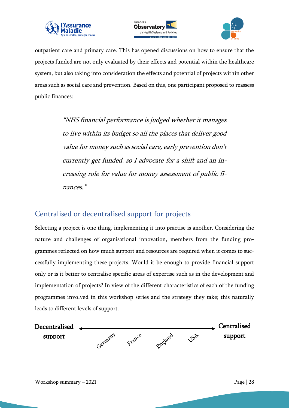





outpatient care and primary care. This has opened discussions on how to ensure that the projects funded are not only evaluated by their effects and potential within the healthcare system, but also taking into consideration the effects and potential of projects within other areas such as social care and prevention. Based on this, one participant proposed to reassess public finances:

> "NHS financial performance is judged whether it manages to live within its budget so all the places that deliver good value for money such as social care, early prevention don't currently get funded, so I advocate for a shift and an increasing role for value for money assessment of public finances."

#### <span id="page-27-0"></span>Centralised or decentralised support for projects

Selecting a project is one thing, implementing it into practise is another. Considering the nature and challenges of organisational innovation, members from the funding programmes reflected on how much support and resources are required when it comes to successfully implementing these projects. Would it be enough to provide financial support only or is it better to centralise specific areas of expertise such as in the development and implementation of projects? In view of the different characteristics of each of the funding programmes involved in this workshop series and the strategy they take; this naturally leads to different levels of support.

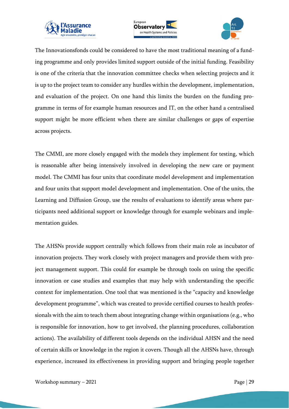





The Innovationsfonds could be considered to have the most traditional meaning of a funding programme and only provides limited support outside of the initial funding. Feasibility is one of the criteria that the innovation committee checks when selecting projects and it is up to the project team to consider any hurdles within the development, implementation, and evaluation of the project. On one hand this limits the burden on the funding programme in terms of for example human resources and IT, on the other hand a centralised support might be more efficient when there are similar challenges or gaps of expertise across projects.

The CMMI, are more closely engaged with the models they implement for testing, which is reasonable after being intensively involved in developing the new care or payment model. The CMMI has four units that coordinate model development and implementation and four units that support model development and implementation. One of the units, the Learning and Diffusion Group, use the results of evaluations to identify areas where participants need additional support or knowledge through for example webinars and implementation guides.

The AHSNs provide support centrally which follows from their main role as incubator of innovation projects. They work closely with project managers and provide them with project management support. This could for example be through tools on using the specific innovation or case studies and examples that may help with understanding the specific context for implementation. One tool that was mentioned is the "capacity and knowledge development programme", which was created to provide certified courses to health professionals with the aim to teach them about integrating change within organisations (e.g., who is responsible for innovation, how to get involved, the planning procedures, collaboration actions). The availability of different tools depends on the individual AHSN and the need of certain skills or knowledge in the region it covers. Though all the AHSNs have, through experience, increased its effectiveness in providing support and bringing people together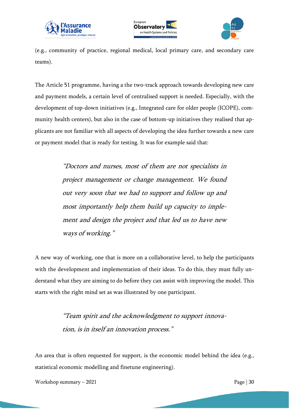





(e.g., community of practice, regional medical, local primary care, and secondary care teams).

The Article 51 programme, having a the two-track approach towards developing new care and payment models, a certain level of centralised support is needed. Especially, with the development of top-down initiatives (e.g., Integrated care for older people (ICOPE), community health centers), but also in the case of bottom-up initiatives they realised that applicants are not familiar with all aspects of developing the idea further towards a new care or payment model that is ready for testing. It was for example said that:

> "Doctors and nurses, most of them are not specialists in project management or change management. We found out very soon that we had to support and follow up and most importantly help them build up capacity to implement and design the project and that led us to have new ways of working."

A new way of working, one that is more on a collaborative level, to help the participants with the development and implementation of their ideas. To do this, they must fully understand what they are aiming to do before they can assist with improving the model. This starts with the right mind set as was illustrated by one participant.

> "Team spirit and the acknowledgment to support innovation, is in itself an innovation process."

An area that is often requested for support, is the economic model behind the idea (e.g., statistical economic modelling and finetune engineering).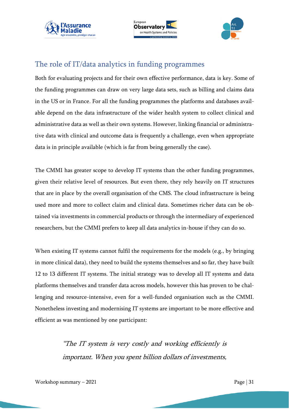





#### <span id="page-30-0"></span>The role of IT/data analytics in funding programmes

Both for evaluating projects and for their own effective performance, data is key. Some of the funding programmes can draw on very large data sets, such as billing and claims data in the US or in France. For all the funding programmes the platforms and databases available depend on the data infrastructure of the wider health system to collect clinical and administrative data as well as their own systems. However, linking financial or administrative data with clinical and outcome data is frequently a challenge, even when appropriate data is in principle available (which is far from being generally the case).

The CMMI has greater scope to develop IT systems than the other funding programmes, given their relative level of resources. But even there, they rely heavily on IT structures that are in place by the overall organisation of the CMS. The cloud infrastructure is being used more and more to collect claim and clinical data. Sometimes richer data can be obtained via investments in commercial products or through the intermediary of experienced researchers, but the CMMI prefers to keep all data analytics in-house if they can do so.

When existing IT systems cannot fulfil the requirements for the models (e.g., by bringing in more clinical data), they need to build the systems themselves and so far, they have built 12 to 13 different IT systems. The initial strategy was to develop all IT systems and data platforms themselves and transfer data across models, however this has proven to be challenging and resource-intensive, even for a well-funded organisation such as the CMMI. Nonetheless investing and modernising IT systems are important to be more effective and efficient as was mentioned by one participant:

> "The IT system is very costly and working efficiently is important. When you spent billion dollars of investments,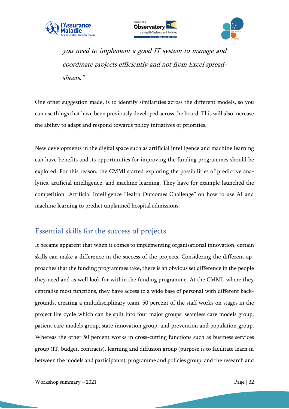





you need to implement a good IT system to manage and coordinate projects efficiently and not from Excel spreadsheets."

One other suggestion made, is to identify similarities across the different models, so you can use things that have been previously developed across the board. This will also increase the ability to adapt and respond towards policy initiatives or priorities.

New developments in the digital space such as artificial intelligence and machine learning can have benefits and its opportunities for improving the funding programmes should be explored. For this reason, the CMMI started exploring the possibilities of predictive analytics, artificial intelligence, and machine learning. They have for example launched the competition "Artificial Intelligence Health Outcomes Challenge" on how to use AI and machine learning to predict unplanned hospital admissions.

#### <span id="page-31-0"></span>Essential skills for the success of projects

It became apparent that when it comes to implementing organisational innovation, certain skills can make a difference in the success of the projects. Considering the different approaches that the funding programmes take, there is an obvious set difference in the people they need and as well look for within the funding programme. At the CMMI, where they centralise most functions, they have access to a wide base of personal with different backgrounds, creating a multidisciplinary team. 50 percent of the staff works on stages in the project life cycle which can be split into four major groups: seamless care models group, patient care models group, state innovation group, and prevention and population group. Whereas the other 50 percent works in cross-cutting functions such as business services group (IT, budget, contracts), learning and diffusion group (purpose is to facilitate learn in between the models and participants), programme and policies group, and the research and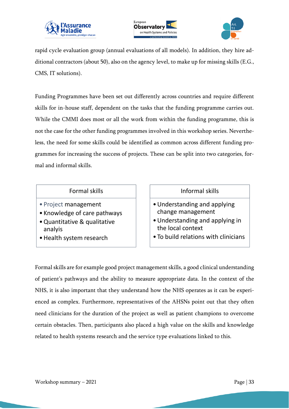





rapid cycle evaluation group (annual evaluations of all models). In addition, they hire additional contractors (about 50), also on the agency level, to make up for missing skills (E.G., CMS, IT solutions).

Funding Programmes have been set out differently across countries and require different skills for in-house staff, dependent on the tasks that the funding programme carries out. While the CMMI does most or all the work from within the funding programme, this is not the case for the other funding programmes involved in this workshop series. Nevertheless, the need for some skills could be identified as common across different funding programmes for increasing the success of projects. These can be split into two categories, formal and informal skills.

#### Formal skills

- Project management
- Knowledge of care pathways
- •Quantitative & qualitative analyis
- •Health system research

#### Informal skills

- •Understanding and applying change management
- •Understanding and applying in the local context
- To build relations with clinicians

Formal skills are for example good project management skills, a good clinical understanding of patient's pathways and the ability to measure appropriate data. In the context of the NHS, it is also important that they understand how the NHS operates as it can be experienced as complex. Furthermore, representatives of the AHSNs point out that they often need clinicians for the duration of the project as well as patient champions to overcome certain obstacles. Then, participants also placed a high value on the skills and knowledge related to health systems research and the service type evaluations linked to this.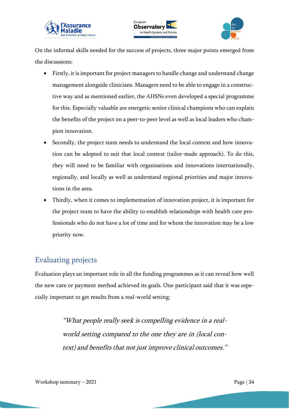



On the informal skills needed for the success of projects, three major points emerged from the discussions:

- Firstly, it is important for project managers to handle change and understand change management alongside clinicians. Managers need to be able to engage in a constructive way and as mentioned earlier, the AHSNs even developed a special programme for this. Especially valuable are energetic senior clinical champions who can explain the benefits of the project on a peer-to-peer level as well as local leaders who champion innovation.
- Secondly, the project team needs to understand the local context and how innovation can be adopted to suit that local context (tailor-made approach). To do this, they will need to be familiar with organisations and innovations internationally, regionally, and locally as well as understand regional priorities and major innovations in the area.
- Thirdly, when it comes to implementation of innovation project, it is important for the project team to have the ability to establish relationships with health care professionals who do not have a lot of time and for whom the innovation may be a low priority now.

## <span id="page-33-0"></span>Evaluating projects

Evaluation plays an important role in all the funding programmes as it can reveal how well the new care or payment method achieved its goals. One participant said that it was especially important to get results from a real-world setting:

> "What people really seek is compelling evidence in a realworld setting compared to the one they are in (local context) and benefits that not just improve clinical outcomes."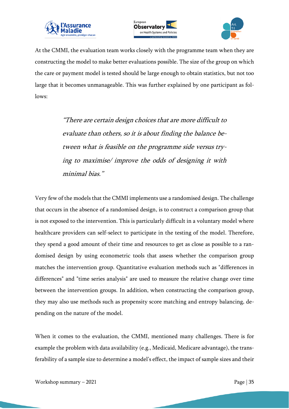





At the CMMI, the evaluation team works closely with the programme team when they are constructing the model to make better evaluations possible. The size of the group on which the care or payment model is tested should be large enough to obtain statistics, but not too large that it becomes unmanageable. This was further explained by one participant as follows:

> "There are certain design choices that are more difficult to evaluate than others, so it is about finding the balance between what is feasible on the programme side versus trying to maximise/ improve the odds of designing it with minimal bias."

Very few of the models that the CMMI implements use a randomised design. The challenge that occurs in the absence of a randomised design, is to construct a comparison group that is not exposed to the intervention. This is particularly difficult in a voluntary model where healthcare providers can self-select to participate in the testing of the model. Therefore, they spend a good amount of their time and resources to get as close as possible to a randomised design by using econometric tools that assess whether the comparison group matches the intervention group. Quantitative evaluation methods such as "differences in differences" and "time series analysis" are used to measure the relative change over time between the intervention groups. In addition, when constructing the comparison group, they may also use methods such as propensity score matching and entropy balancing, depending on the nature of the model.

When it comes to the evaluation, the CMMI, mentioned many challenges. There is for example the problem with data availability (e.g., Medicaid, Medicare advantage), the transferability of a sample size to determine a model's effect, the impact of sample sizes and their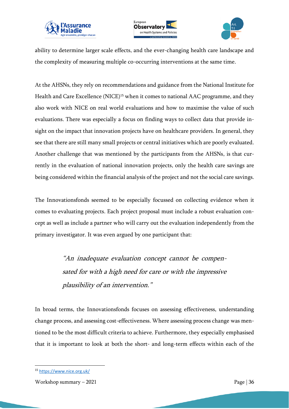





ability to determine larger scale effects, and the ever-changing health care landscape and the complexity of measuring multiple co-occurring interventions at the same time.

At the AHSNs, they rely on recommendations and guidance from the National Institute for Health and Care Excellence (NICE)<sup>15</sup> when it comes to national AAC programme, and they also work with NICE on real world evaluations and how to maximise the value of such evaluations. There was especially a focus on finding ways to collect data that provide insight on the impact that innovation projects have on healthcare providers. In general, they see that there are still many small projects or central initiatives which are poorly evaluated. Another challenge that was mentioned by the participants from the AHSNs, is that currently in the evaluation of national innovation projects, only the health care savings are being considered within the financial analysis of the project and not the social care savings.

The Innovationsfonds seemed to be especially focussed on collecting evidence when it comes to evaluating projects. Each project proposal must include a robust evaluation concept as well as include a partner who will carry out the evaluation independently from the primary investigator. It was even argued by one participant that:

> "An inadequate evaluation concept cannot be compensated for with a high need for care or with the impressive plausibility of an intervention."

In broad terms, the Innovationsfonds focuses on assessing effectiveness, understanding change process, and assessing cost-effectiveness. Where assessing process change was mentioned to be the most difficult criteria to achieve. Furthermore, they especially emphasised that it is important to look at both the short- and long-term effects within each of the

<sup>15</sup> <https://www.nice.org.uk/>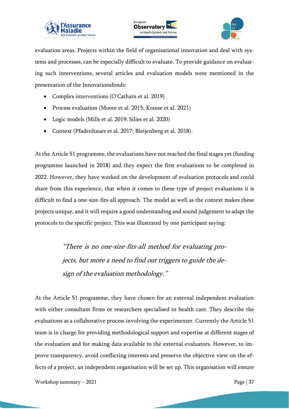





evaluation areas. Projects within the field of organisational innovation and deal with systems and processes, can be especially difficult to evaluate. To provide guidance on evaluating such interventions, several articles and evaluation models were mentioned in the presentation of the Innovationsfonds:

- Complex interventions (O'Cathain et al. 2019)
- Process evaluation (Moore et al. 2015; Krause et al. 2021)
- Logic models (Mills et al. 2019; Silies et al. 2020)
- Context (Pfadenhauer et al. 2017; Bleijenberg et al. 2018).

At the Article 51 programme, the evaluations have not reached the final stages yet (funding programme launched in 2018) and they expect the first evaluations to be completed in 2022. However, they have worked on the development of evaluation protocols and could share from this experience, that when it comes to these type of project evaluations it is difficult to find a one-size-fits-all approach. The model as well as the context makes these projects unique, and it will require a good understanding and sound judgement to adapt the protocols to the specific project. This was illustrated by one participant saying:

> "There is no one-size-fits-all method for evaluating projects, but more a need to find out triggers to guide the design of the evaluation methodology."

At the Article 51 programme, they have chosen for an external independent evaluation with either consultant firms or researchers specialised in health care. They describe the evaluations as a collaborative process involving the experimenter. Currently the Article 51 team is in charge for providing methodological support and expertise at different stages of the evaluation and for making data available to the external evaluators. However, to improve transparency, avoid conflicting interests and preserve the objective view on the effects of a project, an independent organisation will be set up. This organisation will ensure

Workshop summary  $-2021$  Page | 37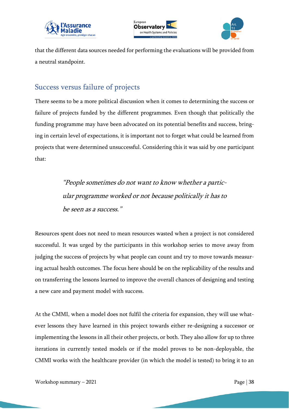





that the different data sources needed for performing the evaluations will be provided from a neutral standpoint.

#### <span id="page-37-0"></span>Success versus failure of projects

There seems to be a more political discussion when it comes to determining the success or failure of projects funded by the different programmes. Even though that politically the funding programme may have been advocated on its potential benefits and success, bringing in certain level of expectations, it is important not to forget what could be learned from projects that were determined unsuccessful. Considering this it was said by one participant that:

> "People sometimes do not want to know whether a particular programme worked or not because politically it has to be seen as a success."

Resources spent does not need to mean resources wasted when a project is not considered successful. It was urged by the participants in this workshop series to move away from judging the success of projects by what people can count and try to move towards measuring actual health outcomes. The focus here should be on the replicability of the results and on transferring the lessons learned to improve the overall chances of designing and testing a new care and payment model with success.

At the CMMI, when a model does not fulfil the criteria for expansion, they will use whatever lessons they have learned in this project towards either re-designing a successor or implementing the lessons in all their other projects, or both. They also allow for up to three iterations in currently tested models or if the model proves to be non-deployable, the CMMI works with the healthcare provider (in which the model is tested) to bring it to an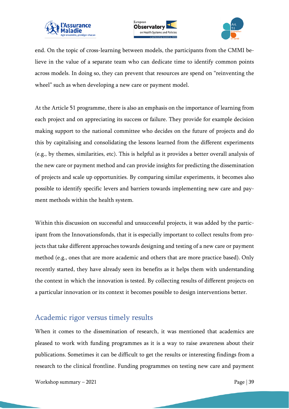





end. On the topic of cross-learning between models, the participants from the CMMI believe in the value of a separate team who can dedicate time to identify common points across models. In doing so, they can prevent that resources are spend on "reinventing the wheel" such as when developing a new care or payment model.

At the Article 51 programme, there is also an emphasis on the importance of learning from each project and on appreciating its success or failure. They provide for example decision making support to the national committee who decides on the future of projects and do this by capitalising and consolidating the lessons learned from the different experiments (e.g., by themes, similarities, etc). This is helpful as it provides a better overall analysis of the new care or payment method and can provide insights for predicting the dissemination of projects and scale up opportunities. By comparing similar experiments, it becomes also possible to identify specific levers and barriers towards implementing new care and payment methods within the health system.

Within this discussion on successful and unsuccessful projects, it was added by the participant from the Innovationsfonds, that it is especially important to collect results from projects that take different approaches towards designing and testing of a new care or payment method (e.g., ones that are more academic and others that are more practice based). Only recently started, they have already seen its benefits as it helps them with understanding the context in which the innovation is tested. By collecting results of different projects on a particular innovation or its context it becomes possible to design interventions better.

#### <span id="page-38-0"></span>Academic rigor versus timely results

When it comes to the dissemination of research, it was mentioned that academics are pleased to work with funding programmes as it is a way to raise awareness about their publications. Sometimes it can be difficult to get the results or interesting findings from a research to the clinical frontline. Funding programmes on testing new care and payment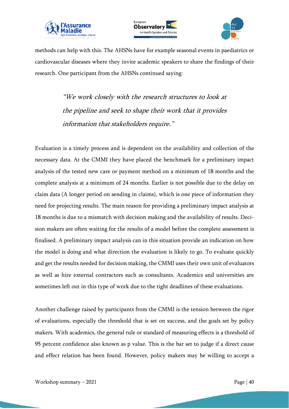





methods can help with this. The AHSNs have for example seasonal events in paediatrics or cardiovascular diseases where they invite academic speakers to share the findings of their research. One participant from the AHSNs continued saying:

> "We work closely with the research structures to look at the pipeline and seek to shape their work that it provides information that stakeholders require."

Evaluation is a timely process and is dependent on the availability and collection of the necessary data. At the CMMI they have placed the benchmark for a preliminary impact analysis of the tested new care or payment method on a minimum of 18 months and the complete analysis at a minimum of 24 months. Earlier is not possible due to the delay on claim data (A longer period on sending in claims), which is one piece of information they need for projecting results. The main reason for providing a preliminary impact analysis at 18 months is due to a mismatch with decision making and the availability of results. Decision makers are often waiting for the results of a model before the complete assessment is finalised. A preliminary impact analysis can in this situation provide an indication on how the model is doing and what direction the evaluation is likely to go. To evaluate quickly and get the results needed for decision making, the CMMI uses their own unit of evaluators as well as hire external contractors such as consultants. Academics and universities are sometimes left out in this type of work due to the tight deadlines of these evaluations.

Another challenge raised by participants from the CMMI is the tension between the rigor of evaluations, especially the threshold that is set on success, and the goals set by policy makers. With academics, the general rule or standard of measuring effects is a threshold of 95 percent confidence also known as p value. This is the bar set to judge if a direct cause and effect relation has been found. However, policy makers may be willing to accept a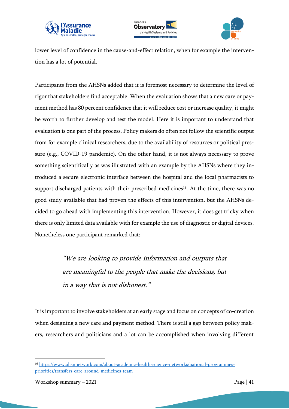





lower level of confidence in the cause-and-effect relation, when for example the intervention has a lot of potential.

Participants from the AHSNs added that it is foremost necessary to determine the level of rigor that stakeholders find acceptable. When the evaluation shows that a new care or payment method has 80 percent confidence that it will reduce cost or increase quality, it might be worth to further develop and test the model. Here it is important to understand that evaluation is one part of the process. Policy makers do often not follow the scientific output from for example clinical researchers, due to the availability of resources or political pressure (e.g., COVID-19 pandemic). On the other hand, it is not always necessary to prove something scientifically as was illustrated with an example by the AHSNs where they introduced a secure electronic interface between the hospital and the local pharmacists to support discharged patients with their prescribed medicines<sup>16</sup>. At the time, there was no good study available that had proven the effects of this intervention, but the AHSNs decided to go ahead with implementing this intervention. However, it does get tricky when there is only limited data available with for example the use of diagnostic or digital devices. Nonetheless one participant remarked that:

> "We are looking to provide information and outputs that are meaningful to the people that make the decisions, but in a way that is not dishonest."

It is important to involve stakeholders at an early stage and focus on concepts of co-creation when designing a new care and payment method. There is still a gap between policy makers, researchers and politicians and a lot can be accomplished when involving different

<sup>16</sup> [https://www.ahsnnetwork.com/about-academic-health-science-networks/national-programmes](https://www.ahsnnetwork.com/about-academic-health-science-networks/national-programmes-priorities/transfers-care-around-medicines-tcam)[priorities/transfers-care-around-medicines-tcam](https://www.ahsnnetwork.com/about-academic-health-science-networks/national-programmes-priorities/transfers-care-around-medicines-tcam)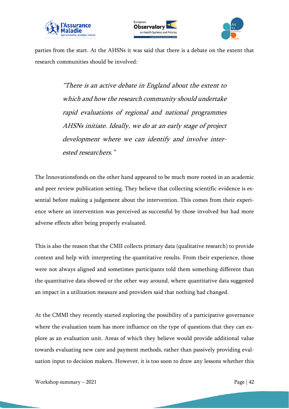





parties from the start. At the AHSNs it was said that there is a debate on the extent that research communities should be involved:

> "There is an active debate in England about the extent to which and how the research community should undertake rapid evaluations of regional and national programmes AHSNs initiate. Ideally, we do at an early stage of project development where we can identify and involve interested researchers."

The Innovationsfonds on the other hand appeared to be much more rooted in an academic and peer review publication setting. They believe that collecting scientific evidence is essential before making a judgement about the intervention. This comes from their experience where an intervention was perceived as successful by those involved but had more adverse effects after being properly evaluated.

This is also the reason that the CMII collects primary data (qualitative research) to provide context and help with interpreting the quantitative results. From their experience, those were not always aligned and sometimes participants told them something different than the quantitative data showed or the other way around, where quantitative data suggested an impact in a utilization measure and providers said that nothing had changed.

At the CMMI they recently started exploring the possibility of a participative governance where the evaluation team has more influence on the type of questions that they can explore as an evaluation unit. Areas of which they believe would provide additional value towards evaluating new care and payment methods, rather than passively providing evaluation input to decision makers. However, it is too soon to draw any lessons whether this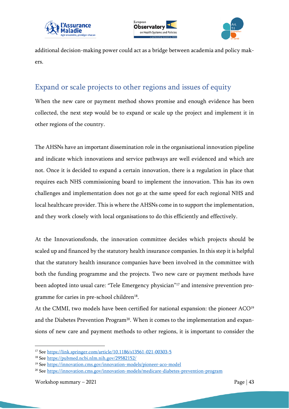





additional decision-making power could act as a bridge between academia and policy makers.

## <span id="page-42-0"></span>Expand or scale projects to other regions and issues of equity

When the new care or payment method shows promise and enough evidence has been collected, the next step would be to expand or scale up the project and implement it in other regions of the country.

The AHSNs have an important dissemination role in the organisational innovation pipeline and indicate which innovations and service pathways are well evidenced and which are not. Once it is decided to expand a certain innovation, there is a regulation in place that requires each NHS commissioning board to implement the innovation. This has its own challenges and implementation does not go at the same speed for each regional NHS and local healthcare provider. This is where the AHSNs come in to support the implementation, and they work closely with local organisations to do this efficiently and effectively.

At the Innovationsfonds, the innovation committee decides which projects should be scaled up and financed by the statutory health insurance companies. In this step it is helpful that the statutory health insurance companies have been involved in the committee with both the funding programme and the projects. Two new care or payment methods have been adopted into usual care: "Tele Emergency physician" <sup>17</sup> and intensive prevention programme for caries in pre-school children<sup>18</sup>.

At the CMMI, two models have been certified for national expansion: the pioneer ACO<sup>19</sup> and the Diabetes Prevention Program<sup>20</sup>. When it comes to the implementation and expansions of new care and payment methods to other regions, it is important to consider the

<sup>17</sup> See<https://link.springer.com/article/10.1186/s13561-021-00303-5>

<sup>18</sup> See<https://pubmed.ncbi.nlm.nih.gov/29582152/>

<sup>19</sup> See<https://innovation.cms.gov/innovation-models/pioneer-aco-model>

<sup>20</sup> See<https://innovation.cms.gov/innovation-models/medicare-diabetes-prevention-program>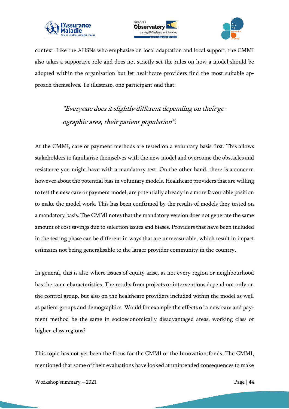





context. Like the AHSNs who emphasise on local adaptation and local support, the CMMI also takes a supportive role and does not strictly set the rules on how a model should be adopted within the organisation but let healthcare providers find the most suitable approach themselves. To illustrate, one participant said that:

> "Everyone does it slightly different depending on their geographic area, their patient population".

At the CMMI, care or payment methods are tested on a voluntary basis first. This allows stakeholders to familiarise themselves with the new model and overcome the obstacles and resistance you might have with a mandatory test. On the other hand, there is a concern however about the potential bias in voluntary models. Healthcare providers that are willing to test the new care or payment model, are potentially already in a more favourable position to make the model work. This has been confirmed by the results of models they tested on a mandatory basis. The CMMI notes that the mandatory version does not generate the same amount of cost savings due to selection issues and biases. Providers that have been included in the testing phase can be different in ways that are unmeasurable, which result in impact estimates not being generalisable to the larger provider community in the country.

In general, this is also where issues of equity arise, as not every region or neighbourhood has the same characteristics. The results from projects or interventions depend not only on the control group, but also on the healthcare providers included within the model as well as patient groups and demographics. Would for example the effects of a new care and payment method be the same in socioeconomically disadvantaged areas, working class or higher-class regions?

This topic has not yet been the focus for the CMMI or the Innovationsfonds. The CMMI, mentioned that some of their evaluations have looked at unintended consequences to make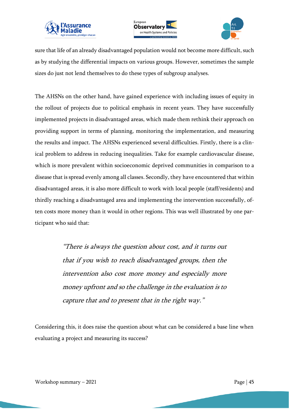





sure that life of an already disadvantaged population would not become more difficult, such as by studying the differential impacts on various groups. However, sometimes the sample sizes do just not lend themselves to do these types of subgroup analyses.

The AHSNs on the other hand, have gained experience with including issues of equity in the rollout of projects due to political emphasis in recent years. They have successfully implemented projects in disadvantaged areas, which made them rethink their approach on providing support in terms of planning, monitoring the implementation, and measuring the results and impact. The AHSNs experienced several difficulties. Firstly, there is a clinical problem to address in reducing inequalities. Take for example cardiovascular disease, which is more prevalent within socioeconomic deprived communities in comparison to a disease that is spread evenly among all classes. Secondly, they have encountered that within disadvantaged areas, it is also more difficult to work with local people (staff/residents) and thirdly reaching a disadvantaged area and implementing the intervention successfully, often costs more money than it would in other regions. This was well illustrated by one participant who said that:

> "There is always the question about cost, and it turns out that if you wish to reach disadvantaged groups, then the intervention also cost more money and especially more money upfront and so the challenge in the evaluation is to capture that and to present that in the right way."

Considering this, it does raise the question about what can be considered a base line when evaluating a project and measuring its success?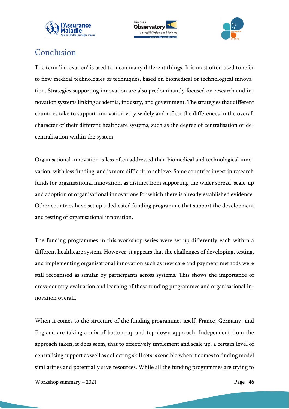





## <span id="page-45-0"></span>Conclusion

The term 'innovation' is used to mean many different things. It is most often used to refer to new medical technologies or techniques, based on biomedical or technological innovation. Strategies supporting innovation are also predominantly focused on research and innovation systems linking academia, industry, and government. The strategies that different countries take to support innovation vary widely and reflect the differences in the overall character of their different healthcare systems, such as the degree of centralisation or decentralisation within the system.

Organisational innovation is less often addressed than biomedical and technological innovation, with less funding, and is more difficult to achieve. Some countries invest in research funds for organisational innovation, as distinct from supporting the wider spread, scale-up and adoption of organisational innovations for which there is already established evidence. Other countries have set up a dedicated funding programme that support the development and testing of organisational innovation.

The funding programmes in this workshop series were set up differently each within a different healthcare system. However, it appears that the challenges of developing, testing, and implementing organisational innovation such as new care and payment methods were still recognised as similar by participants across systems. This shows the importance of cross-country evaluation and learning of these funding programmes and organisational innovation overall.

When it comes to the structure of the funding programmes itself, France, Germany -and England are taking a mix of bottom-up and top-down approach. Independent from the approach taken, it does seem, that to effectively implement and scale up, a certain level of centralising support as well as collecting skill sets is sensible when it comes to finding model similarities and potentially save resources. While all the funding programmes are trying to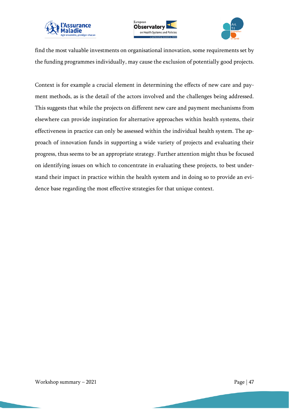





find the most valuable investments on organisational innovation, some requirements set by the funding programmes individually, may cause the exclusion of potentially good projects.

Context is for example a crucial element in determining the effects of new care and payment methods, as is the detail of the actors involved and the challenges being addressed. This suggests that while the projects on different new care and payment mechanisms from elsewhere can provide inspiration for alternative approaches within health systems, their effectiveness in practice can only be assessed within the individual health system. The approach of innovation funds in supporting a wide variety of projects and evaluating their progress, thus seems to be an appropriate strategy. Further attention might thus be focused on identifying issues on which to concentrate in evaluating these projects, to best understand their impact in practice within the health system and in doing so to provide an evidence base regarding the most effective strategies for that unique context.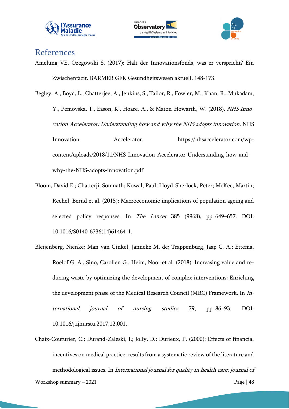





#### <span id="page-47-0"></span>References

Amelung VE, Ozegowski S. (2017): Hält der Innovationsfonds, was er verspricht? Ein Zwischenfazit. BARMER GEK Gesundheitswesen aktuell, 148-173.

[Begley, A., Boyd, L., Chatterjee, A., Jenkins, S., Tailor, R., Fowler,](https://www.zotero.org/google-docs/?xHj75O) M., Khan, R., Mukadam, [Y., Pemovska, T., Eason, K., Hoare, A., & Maton-Howarth, W. \(2018\).](https://www.zotero.org/google-docs/?xHj75O) [NHS Inno](https://www.zotero.org/google-docs/?xHj75O)[vation Accelerator: Understanding how and why the NHS adopts innovation](https://www.zotero.org/google-docs/?xHj75O)[. NHS](https://www.zotero.org/google-docs/?xHj75O)  [Innovation Accelerator. https://nhsaccelerator.com/wp](https://www.zotero.org/google-docs/?xHj75O)[content/uploads/2018/11/NHS-Innovation-Accelerator-Understanding-how-and](https://www.zotero.org/google-docs/?xHj75O)[why-the-NHS-adopts-innovation.pdf](https://www.zotero.org/google-docs/?xHj75O)

- Bloom, David E.; Chatterji, Somnath; Kowal, Paul; Lloyd-Sherlock, Peter; McKee, Martin; Rechel, Bernd et al. (2015): Macroeconomic implications of population ageing and selected policy responses. In *The Lancet* 385 (9968), pp. 649–657. DOI: 10.1016/S0140-6736(14)61464-1.
- Bleijenberg, Nienke; Man-van Ginkel, Janneke M. de; Trappenburg, Jaap C. A.; Ettema, Roelof G. A.; Sino, Carolien G.; Heim, Noor et al. (2018): Increasing value and reducing waste by optimizing the development of complex interventions: Enriching the development phase of the Medical Research Council (MRC) Framework. In International journal of nursing studies 79, pp. 86–93. DOI: 10.1016/j.ijnurstu.2017.12.001.
- Workshop summary  $-2021$  Page | 48 Chaix-Couturier, C.; Durand-Zaleski, I.; Jolly, D.; Durieux, P. (2000): Effects of financial incentives on medical practice: results from a systematic review of the literature and methodological issues. In International journal for quality in health care: journal of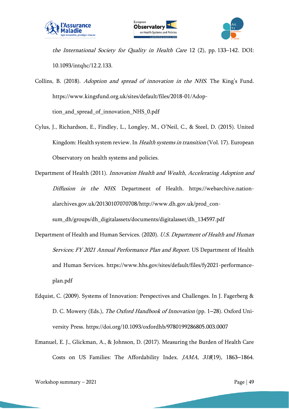





the International Society for Quality in Health Care 12 (2), pp. 133–142. DOI: 10.1093/intqhc/12.2.133.

[Collins, B. \(2018\).](https://www.zotero.org/google-docs/?xHj75O) [Adoption and spread of innovation in the NHS](https://www.zotero.org/google-docs/?xHj75O)[. The King](https://www.zotero.org/google-docs/?xHj75O)'s Fund. [https://www.kingsfund.org.uk/sites/default/files/2018-01/Adop](https://www.zotero.org/google-docs/?xHj75O)[tion\\_and\\_spread\\_of\\_innovation\\_NHS\\_0.pdf](https://www.zotero.org/google-docs/?xHj75O)

- [Cylus, J., Richardson, E., Findley, L., Longley, M., O](https://www.zotero.org/google-docs/?xHj75O)'Neil, C., & Steel, D. (2015). United [Kingdom: Health system review. In](https://www.zotero.org/google-docs/?xHj75O) *[Health systems in transition](https://www.zotero.org/google-docs/?xHj75O)* (Vol. 17). European [Observatory on health systems and policies.](https://www.zotero.org/google-docs/?xHj75O)
- [Department of Health \(2011\).](https://www.zotero.org/google-docs/?xHj75O) [Innovation Health and Wealth, Accelerating Adoption and](https://www.zotero.org/google-docs/?xHj75O)  [Diffusion in the NHS](https://www.zotero.org/google-docs/?xHj75O)[. Department of Health. https://webarchive.nation](https://www.zotero.org/google-docs/?xHj75O)[alarchives.gov.uk/20130107070708/http://www.dh.gov.uk/prod\\_con](https://www.zotero.org/google-docs/?xHj75O)[sum\\_dh/groups/dh\\_digitalassets/documents/digitalasset/dh\\_134597.pdf](https://www.zotero.org/google-docs/?xHj75O)
- [Department of Health and Human Services. \(2020\).](https://www.zotero.org/google-docs/?xHj75O) [U.S. Department of Health and Human](https://www.zotero.org/google-docs/?xHj75O)  [Services; FY 2021 Annual Performance Plan and Report](https://www.zotero.org/google-docs/?xHj75O)[. US Department of Health](https://www.zotero.org/google-docs/?xHj75O)  [and Human Services. https://www.hhs.gov/sites/default/files/fy2021-performance](https://www.zotero.org/google-docs/?xHj75O)[plan.pdf](https://www.zotero.org/google-docs/?xHj75O)
- [Edquist, C. \(2009\). Systems of Innovation: Perspectives and Challenges. In J. Fagerberg &](https://www.zotero.org/google-docs/?xHj75O)  [D. C. Mowery \(Eds.\),](https://www.zotero.org/google-docs/?xHj75O) [The Oxford Handbook of Innovation](https://www.zotero.org/google-docs/?xHj75O) (pp. 1–[28\). Oxford Uni](https://www.zotero.org/google-docs/?xHj75O)[versity Press. https://doi.org/10.1093/oxfordhb/9780199286805.003.0007](https://www.zotero.org/google-docs/?xHj75O)
- [Emanuel, E. J., Glickman, A., & Johnson, D. \(2017\). Measuring the Burden of Health Care](https://www.zotero.org/google-docs/?xHj75O)  [Costs on US Families: The Affordability Index.](https://www.zotero.org/google-docs/?xHj75O) [JAMA](https://www.zotero.org/google-docs/?xHj75O)[,](https://www.zotero.org/google-docs/?xHj75O) [318](https://www.zotero.org/google-docs/?xHj75O)[\(19\), 1863](https://www.zotero.org/google-docs/?xHj75O)–1864.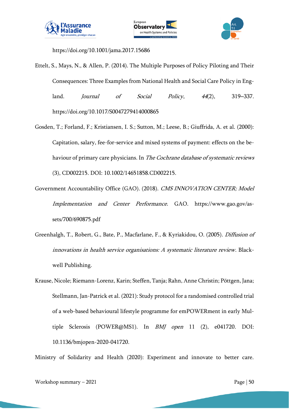



[https://doi.org/10.1001/jama.2017.15686](https://www.zotero.org/google-docs/?xHj75O)

- [Ettelt, S., Mays, N., & Allen, P. \(2014\). The Multiple Purposes of Policy Piloting and Their](https://www.zotero.org/google-docs/?xHj75O)  [Consequences: Three Examples from National Health and Social Care Policy in Eng](https://www.zotero.org/google-docs/?xHj75O)[land.](https://www.zotero.org/google-docs/?xHj75O) *[Journal of Social Policy](https://www.zotero.org/google-docs/?xHj75O)*[,](https://www.zotero.org/google-docs/?xHj75O) [44](https://www.zotero.org/google-docs/?xHj75O)[\(2\), 319](https://www.zotero.org/google-docs/?xHj75O)–337. [https://doi.org/10.1017/S0047279414000865](https://www.zotero.org/google-docs/?xHj75O)
- Gosden, T.; Forland, F.; Kristiansen, I. S.; Sutton, M.; Leese, B.; Giuffrida, A. et al. (2000): Capitation, salary, fee-for-service and mixed systems of payment: effects on the behaviour of primary care physicians. In The Cochrane database of systematic reviews (3), CD002215. DOI: 10.1002/14651858.CD002215.
- [Government Accountability Office \(GAO\). \(2018\).](https://www.zotero.org/google-docs/?xHj75O) [CMS INNOVATION CENTER; Model](https://www.zotero.org/google-docs/?xHj75O)  [Implementation and Center Performance](https://www.zotero.org/google-docs/?xHj75O)[. GAO. https://www.gao.gov/as](https://www.zotero.org/google-docs/?xHj75O)[sets/700/690875.pdf](https://www.zotero.org/google-docs/?xHj75O)
- [Greenhalgh, T., Robert, G., Bate, P., Macfarlane, F., & Kyriakidou, O. \(2005\).](https://www.zotero.org/google-docs/?xHj75O) [Diffusion of](https://www.zotero.org/google-docs/?xHj75O)  [innovations in health service organisations: A systematic literature review](https://www.zotero.org/google-docs/?xHj75O)[. Black](https://www.zotero.org/google-docs/?xHj75O)[well Publishing.](https://www.zotero.org/google-docs/?xHj75O)
- Krause, Nicole; Riemann-Lorenz, Karin; Steffen, Tanja; Rahn, Anne Christin; Pöttgen, Jana; Stellmann, Jan-Patrick et al. (2021): Study protocol for a randomised controlled trial of a web-based behavioural lifestyle programme for emPOWERment in early Multiple Sclerosis (POWER@MS1). In BMJ open 11 (2), e041720. DOI: 10.1136/bmjopen-2020-041720.

Ministry of Solidarity and Health (2020): Experiment and innovate to better care.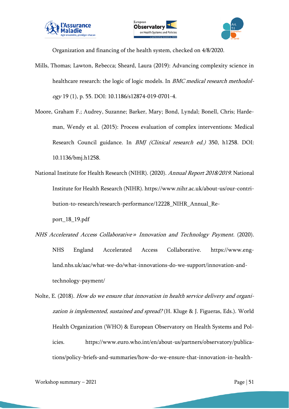





Organization and financing of the health system, checked on 4/8/2020.

- Mills, Thomas; Lawton, Rebecca; Sheard, Laura (2019): Advancing complexity science in healthcare research: the logic of logic models. In *BMC medical research methodol*ogy 19 (1), p. 55. DOI: 10.1186/s12874-019-0701-4.
- Moore, Graham F.; Audrey, Suzanne; Barker, Mary; Bond, Lyndal; Bonell, Chris; Hardeman, Wendy et al. (2015): Process evaluation of complex interventions: Medical Research Council guidance. In BMJ (Clinical research ed.) 350, h1258. DOI: 10.1136/bmj.h1258.
- [National Institute for Health Research \(NIHR\). \(2020\).](https://www.zotero.org/google-docs/?xHj75O) [Annual Report 2018/2019](https://www.zotero.org/google-docs/?xHj75O)[. National](https://www.zotero.org/google-docs/?xHj75O)  [Institute for Health Research \(NIHR\). https://www.nihr.ac.uk/about-us/our-contri](https://www.zotero.org/google-docs/?xHj75O)[bution-to-research/research-performance/12228\\_NIHR\\_Annual\\_Re-](https://www.zotero.org/google-docs/?xHj75O)

```
port_18_19.pdf
```
- NHS Accelerated Access Collaborative *»* [Innovation and Technology Payment](https://www.zotero.org/google-docs/?xHj75O)[. \(2020\).](https://www.zotero.org/google-docs/?xHj75O)  [NHS England Accelerated Access Collaborative. https://www.eng](https://www.zotero.org/google-docs/?xHj75O)[land.nhs.uk/aac/what-we-do/what-innovations-do-we-support/innovation-and](https://www.zotero.org/google-docs/?xHj75O)[technology-payment/](https://www.zotero.org/google-docs/?xHj75O)
- [Nolte, E. \(2018\).](https://www.zotero.org/google-docs/?xHj75O) [How do we ensure that innovation in health service delivery and organi](https://www.zotero.org/google-docs/?xHj75O)[zation is implemented, sustained and spread?](https://www.zotero.org/google-docs/?xHj75O) (H. Kluge & J. Figueras, Eds.). World [Health Organization \(WHO\) & European Observatory on Health Systems and Pol](https://www.zotero.org/google-docs/?xHj75O)[icies. https://www.euro.who.int/en/about-us/partners/observatory/publica](https://www.zotero.org/google-docs/?xHj75O)[tions/policy-briefs-and-summaries/how-do-we-ensure-that-innovation-in-health-](https://www.zotero.org/google-docs/?xHj75O)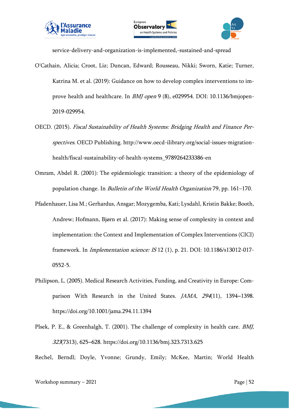





[service-delivery-and-organization-is-implemented,-sustained-and-spread](https://www.zotero.org/google-docs/?xHj75O)

- O'Cathain, Alicia; Croot, Liz; Duncan, Edward; Rousseau, Nikki; Sworn, Katie; Turner, Katrina M. et al. (2019): Guidance on how to develop complex interventions to improve health and healthcare. In BMJ open 9 (8), e029954. DOI: 10.1136/bmjopen-2019-029954.
- [OECD. \(2015\).](https://www.zotero.org/google-docs/?xHj75O) [Fiscal Sustainability of Health Systems: Bridging Health and Finance Per](https://www.zotero.org/google-docs/?xHj75O)[spectives](https://www.zotero.org/google-docs/?xHj75O)[. OECD Publishing. http://www.oecd-ilibrary.org/social-issues-migration](https://www.zotero.org/google-docs/?xHj75O)[health/fiscal-sustainability-of-health-systems\\_9789264233386-en](https://www.zotero.org/google-docs/?xHj75O)
- Omram, Abdel R. (2001): The epidemiologic transition: a theory of the epidemiology of population change. In Bulletin of the World Health Organization 79, pp. 161–170.
- Pfadenhauer, Lisa M.; Gerhardus, Ansgar; Mozygemba, Kati; Lysdahl, Kristin Bakke; Booth, Andrew; Hofmann, Bjørn et al. (2017): Making sense of complexity in context and implementation: the Context and Implementation of Complex Interventions (CICI) framework. In Implementation science: IS 12 (1), p. 21. DOI: 10.1186/s13012-017- 0552-5.
- [Philipson, L. \(2005\). Medical Research Activities, Funding, and Creativity in Europe: Com](https://www.zotero.org/google-docs/?xHj75O)[parison With Research in the United States.](https://www.zotero.org/google-docs/?xHj75O) *[JAMA](https://www.zotero.org/google-docs/?xHj75O)*[,](https://www.zotero.org/google-docs/?xHj75O) [294](https://www.zotero.org/google-docs/?xHj75O)[\(11\), 1394](https://www.zotero.org/google-docs/?xHj75O)–1398. [https://doi.org/10.1001/jama.294.11.1394](https://www.zotero.org/google-docs/?xHj75O)
- [Plsek, P. E., & Greenhalgh, T. \(2001\). The challenge of complexity in health](https://www.zotero.org/google-docs/?xHj75O) care. [BMJ](https://www.zotero.org/google-docs/?xHj75O)[,](https://www.zotero.org/google-docs/?xHj75O)  [323](https://www.zotero.org/google-docs/?xHj75O)(7313), 625–[628. https://doi.org/10.1136/bmj.323.7313.625](https://www.zotero.org/google-docs/?xHj75O)

Rechel, Berndl; Doyle, Yvonne; Grundy, Emily; McKee, Martin; World Health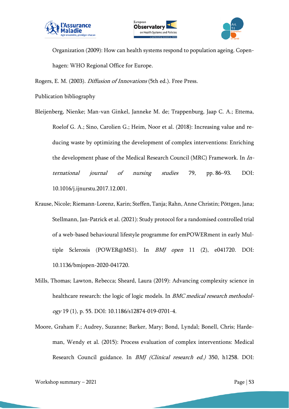





Organization (2009): How can health systems respond to population ageing. Copenhagen: WHO Regional Office for Europe.

[Rogers, E. M. \(2003\).](https://www.zotero.org/google-docs/?xHj75O) [Diffusion of Innovations](https://www.zotero.org/google-docs/?xHj75O) [\(5th ed.\). Free Press.](https://www.zotero.org/google-docs/?xHj75O)

Publication bibliography

- Bleijenberg, Nienke; Man-van Ginkel, Janneke M. de; Trappenburg, Jaap C. A.; Ettema, Roelof G. A.; Sino, Carolien G.; Heim, Noor et al. (2018): Increasing value and reducing waste by optimizing the development of complex interventions: Enriching the development phase of the Medical Research Council (MRC) Framework. In International journal of nursing studies 79, pp. 86–93. DOI: 10.1016/j.ijnurstu.2017.12.001.
- Krause, Nicole; Riemann-Lorenz, Karin; Steffen, Tanja; Rahn, Anne Christin; Pöttgen, Jana; Stellmann, Jan-Patrick et al. (2021): Study protocol for a randomised controlled trial of a web-based behavioural lifestyle programme for emPOWERment in early Multiple Sclerosis (POWER@MS1). In BMJ open 11 (2), e041720. DOI: 10.1136/bmjopen-2020-041720.
- Mills, Thomas; Lawton, Rebecca; Sheard, Laura (2019): Advancing complexity science in healthcare research: the logic of logic models. In BMC medical research methodology 19 (1), p. 55. DOI: 10.1186/s12874-019-0701-4.
- Moore, Graham F.; Audrey, Suzanne; Barker, Mary; Bond, Lyndal; Bonell, Chris; Hardeman, Wendy et al. (2015): Process evaluation of complex interventions: Medical Research Council guidance. In BMJ (Clinical research ed.) 350, h1258. DOI: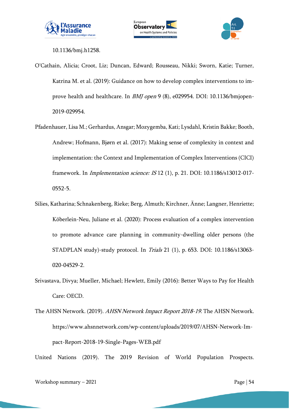



10.1136/bmj.h1258.

- O'Cathain, Alicia; Croot, Liz; Duncan, Edward; Rousseau, Nikki; Sworn, Katie; Turner, Katrina M. et al. (2019): Guidance on how to develop complex interventions to improve health and healthcare. In BMJ open 9 (8), e029954. DOI: 10.1136/bmjopen-2019-029954.
- Pfadenhauer, Lisa M.; Gerhardus, Ansgar; Mozygemba, Kati; Lysdahl, Kristin Bakke; Booth, Andrew; Hofmann, Bjørn et al. (2017): Making sense of complexity in context and implementation: the Context and Implementation of Complex Interventions (CICI) framework. In Implementation science: IS 12 (1), p. 21. DOI: 10.1186/s13012-017- 0552-5.
- Silies, Katharina; Schnakenberg, Rieke; Berg, Almuth; Kirchner, Änne; Langner, Henriette; Köberlein-Neu, Juliane et al. (2020): Process evaluation of a complex intervention to promote advance care planning in community-dwelling older persons (the STADPLAN study)-study protocol. In Trials 21 (1), p. 653. DOI: 10.1186/s13063- 020-04529-2.
- Srivastava, Divya; Mueller, Michael; Hewlett, Emily (2016): Better Ways to Pay for Health Care: OECD.
- [The AHSN Network. \(2019\).](https://www.zotero.org/google-docs/?xHj75O) [AHSN Network Impact Report 2018-19](https://www.zotero.org/google-docs/?xHj75O). The AHSN Network. [https://www.ahsnnetwork.com/wp-content/uploads/2019/07/AHSN-Network-Im](https://www.zotero.org/google-docs/?xHj75O)[pact-Report-2018-19-Single-Pages-WEB.pdf](https://www.zotero.org/google-docs/?xHj75O)

United Nations (2019). The 2019 Revision of World Population Prospects.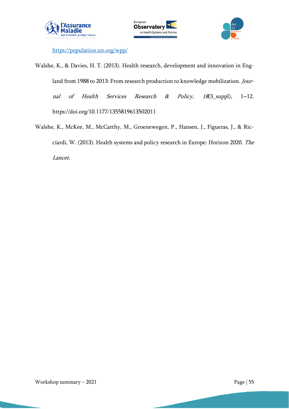





<https://population.un.org/wpp/>

- [Walshe, K., & Davies, H. T. \(2013\). Health research, development and innovation in Eng](https://www.zotero.org/google-docs/?xHj75O)[land from 1988 to 2013: From research production to knowledge mobilization.](https://www.zotero.org/google-docs/?xHj75O) [Jour](https://www.zotero.org/google-docs/?xHj75O)[nal of Health Services Research & Policy](https://www.zotero.org/google-docs/?xHj75O)[,](https://www.zotero.org/google-docs/?xHj75O) [18](https://www.zotero.org/google-docs/?xHj75O)[\(3\\_suppl\), 1](https://www.zotero.org/google-docs/?xHj75O)-12. [https://doi.org/10.1177/1355819613502011](https://www.zotero.org/google-docs/?xHj75O)
- [Walshe, K., McKee, M., McCarthy, M., Groenewegen, P., Hansen, J., Figueras, J., & Ric](https://www.zotero.org/google-docs/?xHj75O)[ciardi, W. \(2013\). Health systems and policy research in Europe: Horizon 2020.](https://www.zotero.org/google-docs/?xHj75O) [The](https://www.zotero.org/google-docs/?xHj75O)  [Lancet](https://www.zotero.org/google-docs/?xHj75O).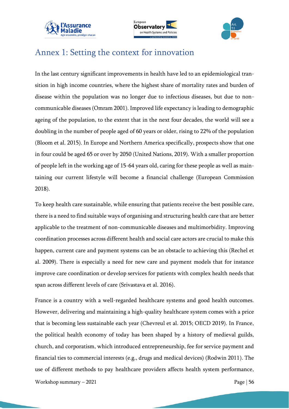





## <span id="page-55-0"></span>Annex 1: Setting the context for innovation

In the last century significant improvements in health have led to an epidemiological transition in high income countries, where the highest share of mortality rates and burden of disease within the population was no longer due to infectious diseases, but due to noncommunicable diseases (Omram 2001). Improved life expectancy is leading to demographic ageing of the population, to the extent that in the next four decades, the world will see a doubling in the number of people aged of 60 years or older, rising to 22% of the population (Bloom et al. 2015). In Europe and Northern America specifically, prospects show that one in four could be aged 65 or over by 2050 (United Nations, 2019). With a smaller proportion of people left in the working age of 15-64 years old, caring for these people as well as maintaining our current lifestyle will become a financial challenge (European Commission 2018).

To keep health care sustainable, while ensuring that patients receive the best possible care, there is a need to find suitable ways of organising and structuring health care that are better applicable to the treatment of non-communicable diseases and multimorbidity. Improving coordination processes across different health and social care actors are crucial to make this happen, current care and payment systems can be an obstacle to achieving this (Rechel et al. 2009). There is especially a need for new care and payment models that for instance improve care coordination or develop services for patients with complex health needs that span across different levels of care (Srivastava et al. 2016).

France is a country with a well-regarded healthcare systems and good health outcomes. However, delivering and maintaining a high-quality healthcare system comes with a price that is becoming less sustainable each year (Chevreul et al. 2015; OECD 2019). In France, the political health economy of today has been shaped by a history of medieval guilds, church, and corporatism, which introduced entrepreneurship, fee for service payment and financial ties to commercial interests (e.g., drugs and medical devices) (Rodwin 2011). The use of different methods to pay healthcare providers affects health system performance,

Workshop summary  $-2021$  Page | 56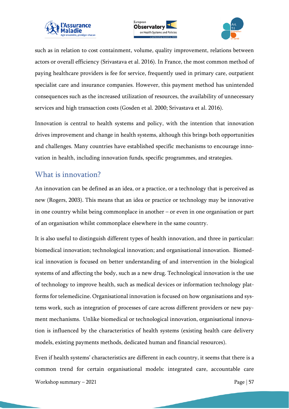





such as in relation to cost containment, volume, quality improvement, relations between actors or overall efficiency (Srivastava et al. 2016). In France, the most common method of paying healthcare providers is fee for service, frequently used in primary care, outpatient specialist care and insurance companies. However, this payment method has unintended consequences such as the increased utilization of resources, the availability of unnecessary services and high transaction costs (Gosden et al. 2000; Srivastava et al. 2016).

Innovation is central to health systems and policy, with the intention that innovation drives improvement and change in health systems, although this brings both opportunities and challenges. Many countries have established specific mechanisms to encourage innovation in health, including innovation funds, specific programmes, and strategies.

#### <span id="page-56-0"></span>What is innovation?

An innovation can be defined as an idea, or a practice, or a technology that is perceived as new (Rogers, 2003). This means that an idea or practice or technology may be innovative in one country whilst being commonplace in another – or even in one organisation or part of an organisation whilst commonplace elsewhere in the same country.

It is also useful to distinguish different types of health innovation, and three in particular: biomedical innovation; technological innovation; and organisational innovation. Biomedical innovation is focused on better understanding of and intervention in the biological systems of and affecting the body, such as a new drug. Technological innovation is the use of technology to improve health, such as medical devices or information technology platforms for telemedicine. Organisational innovation is focused on how organisations and systems work, such as integration of processes of care across different providers or new payment mechanisms. Unlike biomedical or technological innovation, organisational innovation is influenced by the characteristics of health systems (existing health care delivery models, existing payments methods, dedicated human and financial resources).

Workshop summary – 2021 **Page | 57** Page | 57 Even if health systems' characteristics are different in each country, it seems that there is a common trend for certain organisational models: integrated care, accountable care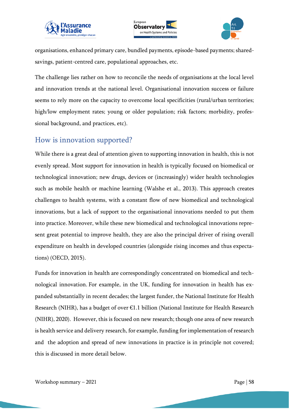





organisations, enhanced primary care, bundled payments, episode-based payments; sharedsavings, patient-centred care, populational approaches, etc.

The challenge lies rather on how to reconcile the needs of organisations at the local level and innovation trends at the national level. Organisational innovation success or failure seems to rely more on the capacity to overcome local specificities (rural/urban territories; high/low employment rates; young or older population; risk factors; morbidity, professional background, and practices, etc).

#### <span id="page-57-0"></span>How is innovation supported?

While there is a great deal of attention given to supporting innovation in health, this is not evenly spread. Most support for innovation in health is typically focused on biomedical or technological innovation; new drugs, devices or (increasingly) wider health technologies such as mobile health or machine learning (Walshe et al., 2013). This approach creates challenges to health systems, with a constant flow of new biomedical and technological innovations, but a lack of support to the organisational innovations needed to put them into practice. Moreover, while these new biomedical and technological innovations represent great potential to improve health, they are also the principal driver of rising overall expenditure on health in developed countries (alongside rising incomes and thus expectations) (OECD, 2015).

Funds for innovation in health are correspondingly concentrated on biomedical and technological innovation. For example, in the UK, funding for innovation in health has expanded substantially in recent decades; the largest funder, the National Institute for Health Research (NIHR), has a budget of over €1.1 billion (National Institute for Health Research (NIHR), 2020). However, this is focused on new research; though one area of new research is health service and delivery research, for example, funding for implementation of research and the adoption and spread of new innovations in practice is in principle not covered; this is discussed in more detail below.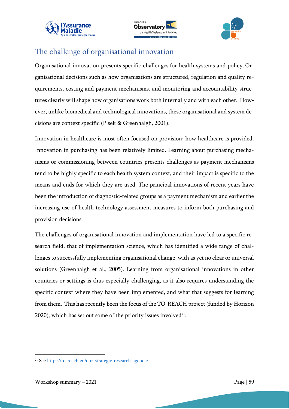





## <span id="page-58-0"></span>The challenge of organisational innovation

Organisational innovation presents specific challenges for health systems and policy. Organisational decisions such as how organisations are structured, regulation and quality requirements, costing and payment mechanisms, and monitoring and accountability structures clearly will shape how organisations work both internally and with each other. However, unlike biomedical and technological innovations, these organisational and system decisions are context specific (Plsek & Greenhalgh, 2001).

Innovation in healthcare is most often focused on provision; how healthcare is provided. Innovation in purchasing has been relatively limited. Learning about purchasing mechanisms or commissioning between countries presents challenges as payment mechanisms tend to be highly specific to each health system context, and their impact is specific to the means and ends for which they are used. The principal innovations of recent years have been the introduction of diagnostic-related groups as a payment mechanism and earlier the increasing use of health technology assessment measures to inform both purchasing and provision decisions.

The challenges of organisational innovation and implementation have led to a specific research field, that of implementation science, which has identified a wide range of challenges to successfully implementing organisational change, with as yet no clear or universal solutions (Greenhalgh et al., 2005). Learning from organisational innovations in other countries or settings is thus especially challenging, as it also requires understanding the specific context where they have been implemented, and what that suggests for learning from them. This has recently been the focus of the TO-REACH project (funded by Horizon 2020), which has set out some of the priority issues involved $^{\scriptscriptstyle 21}$ .

<sup>21</sup> See <https://to-reach.eu/our-strategic-research-agenda/>